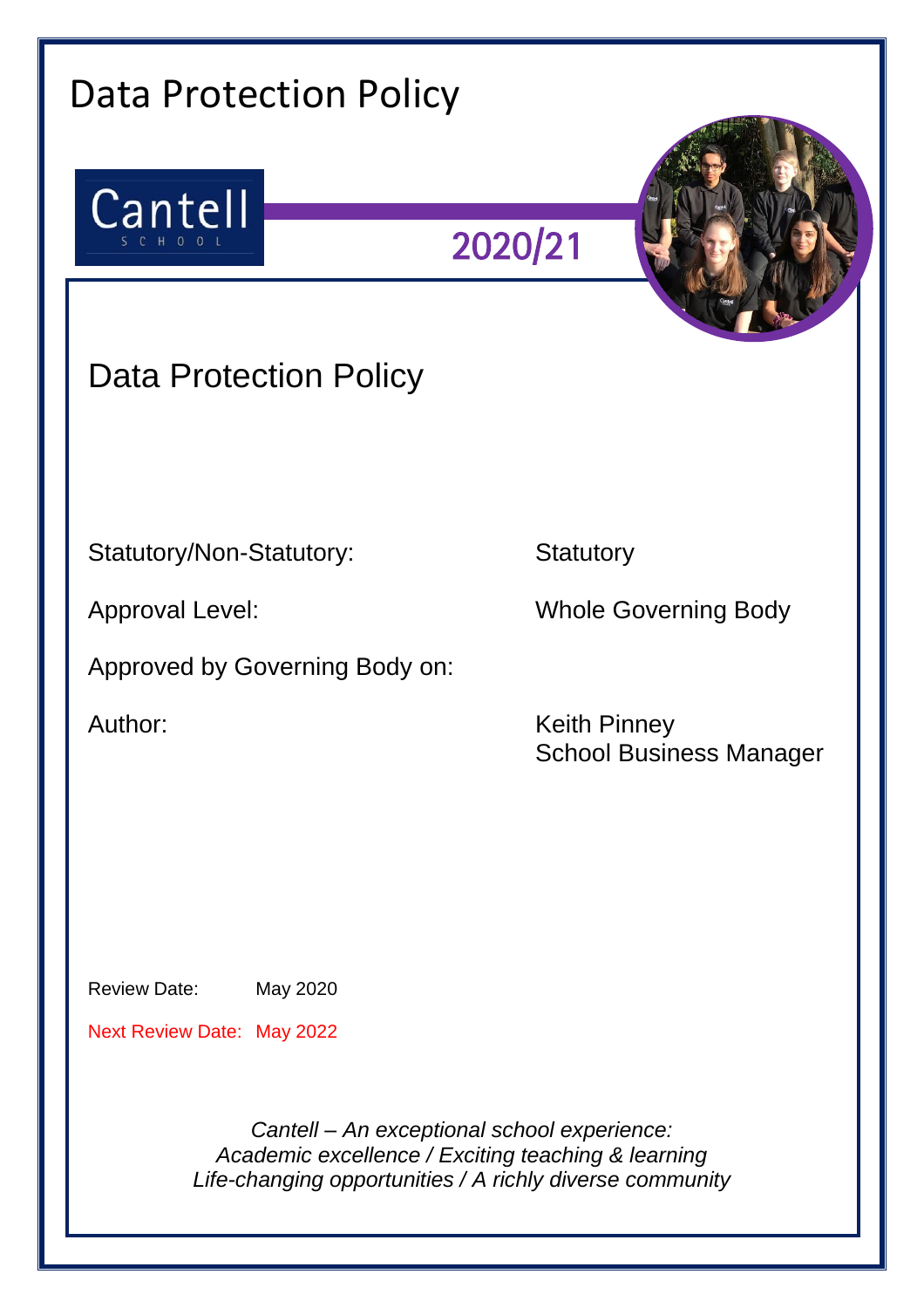| <b>Data Protection Policy</b>     |                                                                                                                                                               |
|-----------------------------------|---------------------------------------------------------------------------------------------------------------------------------------------------------------|
| Cantell<br>SCHOOL                 | 2020/21                                                                                                                                                       |
| <b>Data Protection Policy</b>     |                                                                                                                                                               |
|                                   |                                                                                                                                                               |
| Statutory/Non-Statutory:          | Statutory                                                                                                                                                     |
| <b>Approval Level:</b>            | <b>Whole Governing Body</b>                                                                                                                                   |
| Approved by Governing Body on:    |                                                                                                                                                               |
| Author:                           | <b>Keith Pinney</b><br><b>School Business Manager</b>                                                                                                         |
|                                   |                                                                                                                                                               |
|                                   |                                                                                                                                                               |
| <b>Review Date:</b><br>May 2020   |                                                                                                                                                               |
| <b>Next Review Date: May 2022</b> |                                                                                                                                                               |
|                                   | Cantell - An exceptional school experience:<br>Academic excellence / Exciting teaching & learning<br>Life-changing opportunities / A richly diverse community |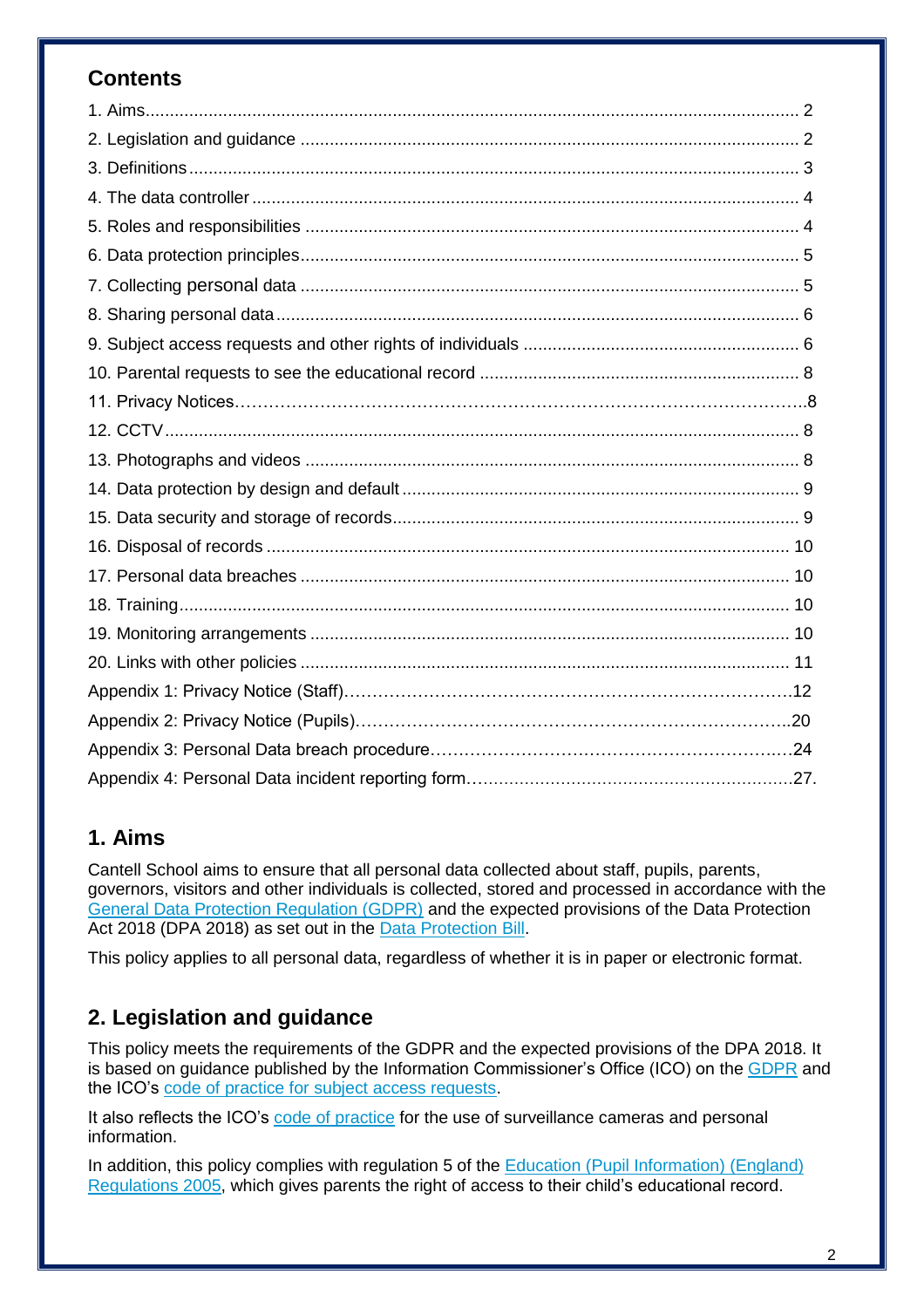# **Contents**

# **1. Aims**

Cantell School aims to ensure that all personal data collected about staff, pupils, parents, governors, visitors and other individuals is collected, stored and processed in accordance with the [General Data Protection Regulation \(GDPR\)](http://data.consilium.europa.eu/doc/document/ST-5419-2016-INIT/en/pdf) and the expected provisions of the Data Protection Act 2018 (DPA 2018) as set out in the [Data Protection Bill.](https://publications.parliament.uk/pa/bills/cbill/2017-2019/0153/18153.pdf)

This policy applies to all personal data, regardless of whether it is in paper or electronic format.

# **2. Legislation and guidance**

This policy meets the requirements of the GDPR and the expected provisions of the DPA 2018. It is based on guidance published by the Information Commissioner's Office (ICO) on the [GDPR](https://ico.org.uk/for-organisations/guide-to-the-general-data-protection-regulation-gdpr/) and the ICO's [code of practice for subject access requests.](https://ico.org.uk/media/for-organisations/documents/2014223/subject-access-code-of-practice.pdf)

It also reflects the ICO's [code of practice](https://ico.org.uk/media/for-organisations/documents/1542/cctv-code-of-practice.pdf) for the use of surveillance cameras and personal information.

In addition, this policy complies with regulation 5 of the Education (Pupil Information) (England) [Regulations 2005,](http://www.legislation.gov.uk/uksi/2005/1437/regulation/5/made) which gives parents the right of access to their child's educational record.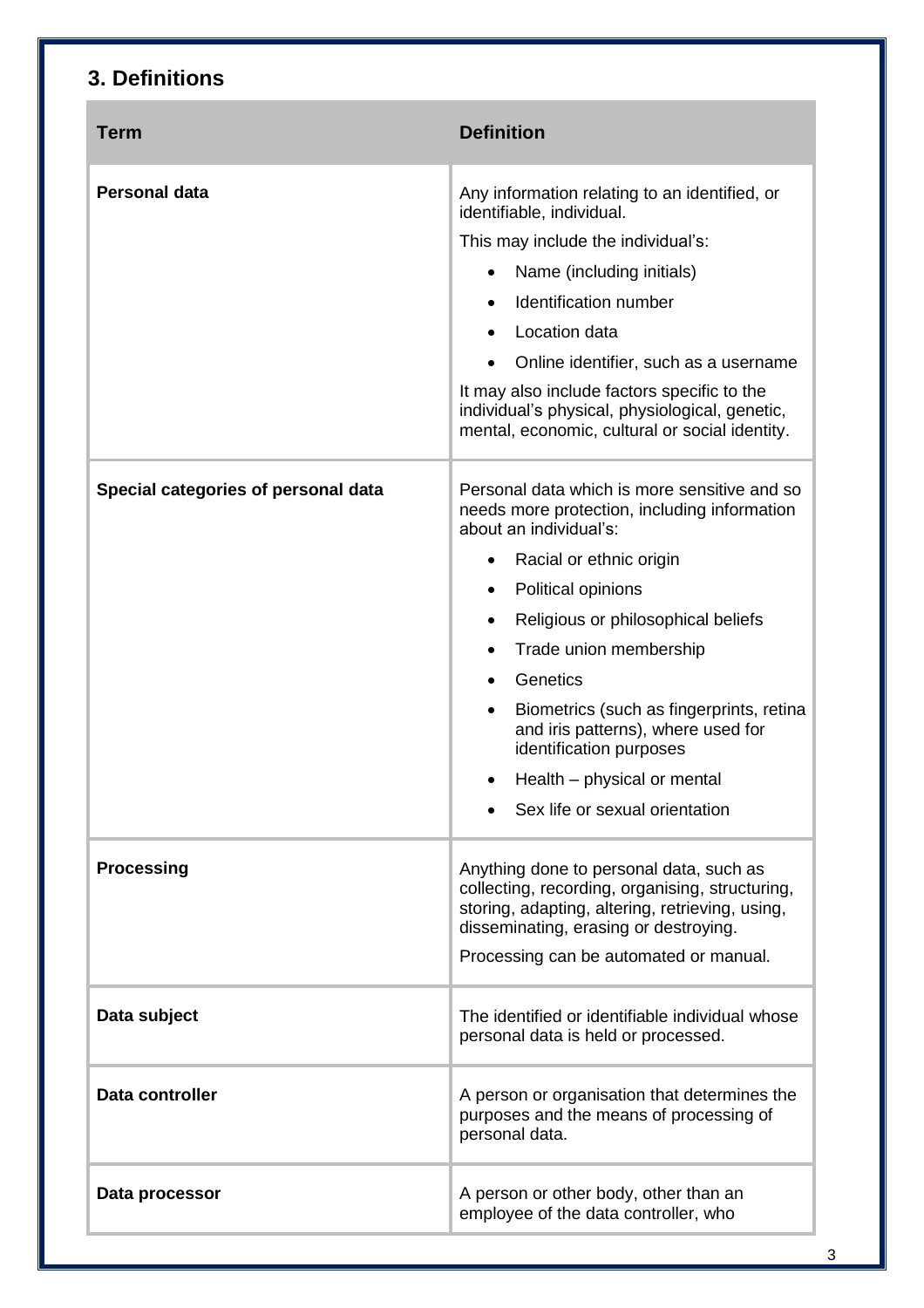# **3. Definitions**

| <b>Term</b>                         | <b>Definition</b>                                                                                                                                                                                                                |
|-------------------------------------|----------------------------------------------------------------------------------------------------------------------------------------------------------------------------------------------------------------------------------|
| <b>Personal data</b>                | Any information relating to an identified, or<br>identifiable, individual.                                                                                                                                                       |
|                                     | This may include the individual's:                                                                                                                                                                                               |
|                                     | Name (including initials)                                                                                                                                                                                                        |
|                                     | Identification number<br>$\bullet$                                                                                                                                                                                               |
|                                     | Location data<br>$\bullet$                                                                                                                                                                                                       |
|                                     | Online identifier, such as a username                                                                                                                                                                                            |
|                                     | It may also include factors specific to the<br>individual's physical, physiological, genetic,<br>mental, economic, cultural or social identity.                                                                                  |
| Special categories of personal data | Personal data which is more sensitive and so<br>needs more protection, including information<br>about an individual's:                                                                                                           |
|                                     | Racial or ethnic origin<br>٠                                                                                                                                                                                                     |
|                                     | Political opinions<br>٠                                                                                                                                                                                                          |
|                                     | Religious or philosophical beliefs<br>٠                                                                                                                                                                                          |
|                                     | Trade union membership<br>٠                                                                                                                                                                                                      |
|                                     | Genetics<br>$\bullet$                                                                                                                                                                                                            |
|                                     | Biometrics (such as fingerprints, retina<br>$\bullet$<br>and iris patterns), where used for<br>identification purposes                                                                                                           |
|                                     | Health – physical or mental<br>٠                                                                                                                                                                                                 |
|                                     | Sex life or sexual orientation                                                                                                                                                                                                   |
| <b>Processing</b>                   | Anything done to personal data, such as<br>collecting, recording, organising, structuring,<br>storing, adapting, altering, retrieving, using,<br>disseminating, erasing or destroying.<br>Processing can be automated or manual. |
| Data subject                        | The identified or identifiable individual whose<br>personal data is held or processed.                                                                                                                                           |
| Data controller                     | A person or organisation that determines the<br>purposes and the means of processing of<br>personal data.                                                                                                                        |
| Data processor                      | A person or other body, other than an<br>employee of the data controller, who                                                                                                                                                    |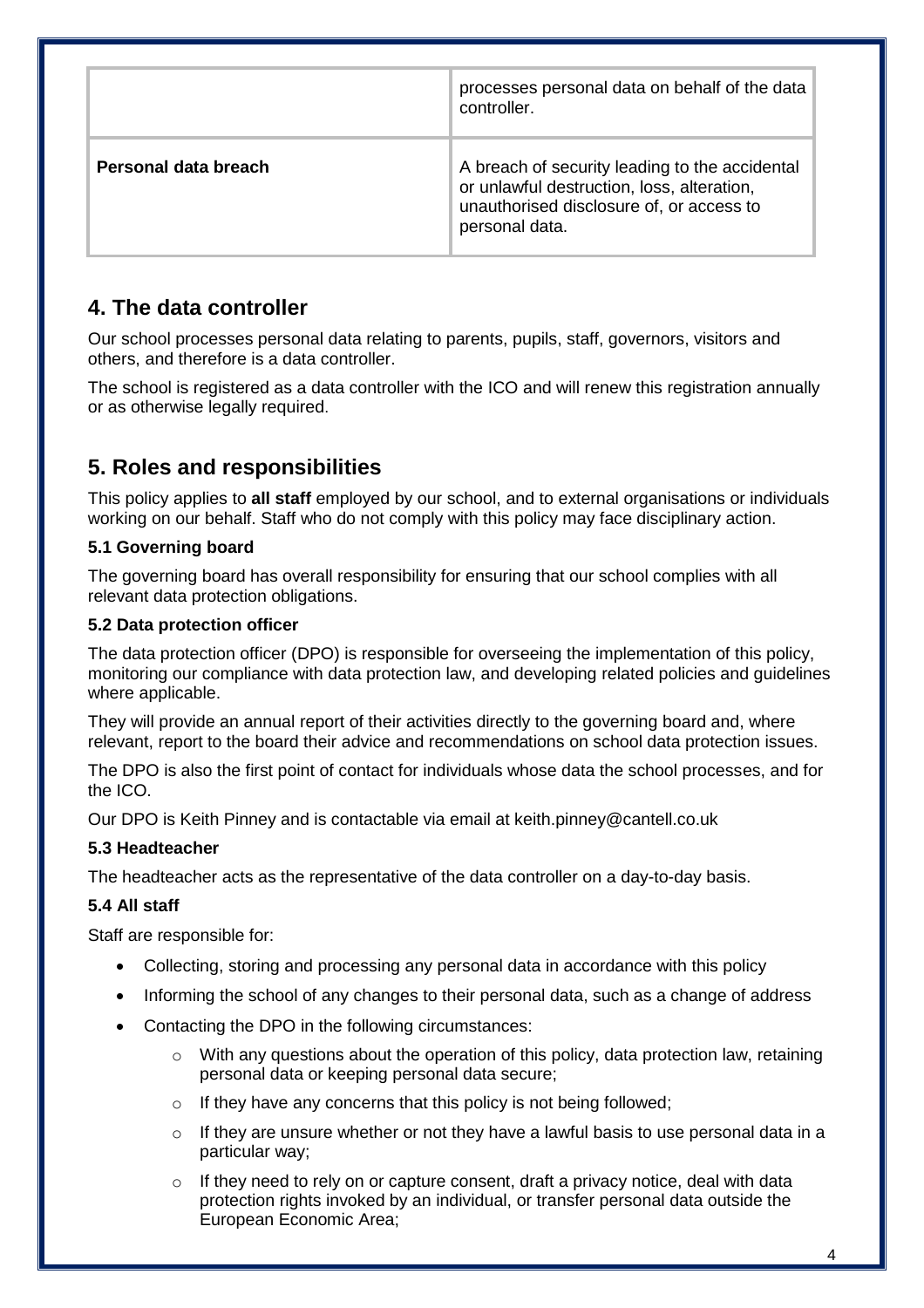|                      | processes personal data on behalf of the data<br>controller.                                                                                               |
|----------------------|------------------------------------------------------------------------------------------------------------------------------------------------------------|
| Personal data breach | A breach of security leading to the accidental<br>or unlawful destruction, loss, alteration,<br>unauthorised disclosure of, or access to<br>personal data. |

# **4. The data controller**

Our school processes personal data relating to parents, pupils, staff, governors, visitors and others, and therefore is a data controller.

The school is registered as a data controller with the ICO and will renew this registration annually or as otherwise legally required.

# **5. Roles and responsibilities**

This policy applies to **all staff** employed by our school, and to external organisations or individuals working on our behalf. Staff who do not comply with this policy may face disciplinary action.

### **5.1 Governing board**

The governing board has overall responsibility for ensuring that our school complies with all relevant data protection obligations.

### **5.2 Data protection officer**

The data protection officer (DPO) is responsible for overseeing the implementation of this policy, monitoring our compliance with data protection law, and developing related policies and guidelines where applicable.

They will provide an annual report of their activities directly to the governing board and, where relevant, report to the board their advice and recommendations on school data protection issues.

The DPO is also the first point of contact for individuals whose data the school processes, and for the ICO.

Our DPO is Keith Pinney and is contactable via email at keith.pinney@cantell.co.uk

### **5.3 Headteacher**

The headteacher acts as the representative of the data controller on a day-to-day basis.

### **5.4 All staff**

Staff are responsible for:

- Collecting, storing and processing any personal data in accordance with this policy
- Informing the school of any changes to their personal data, such as a change of address
- Contacting the DPO in the following circumstances:
	- $\circ$  With any questions about the operation of this policy, data protection law, retaining personal data or keeping personal data secure;
	- $\circ$  If they have any concerns that this policy is not being followed;
	- $\circ$  If they are unsure whether or not they have a lawful basis to use personal data in a particular way;
	- $\circ$  If they need to rely on or capture consent, draft a privacy notice, deal with data protection rights invoked by an individual, or transfer personal data outside the European Economic Area;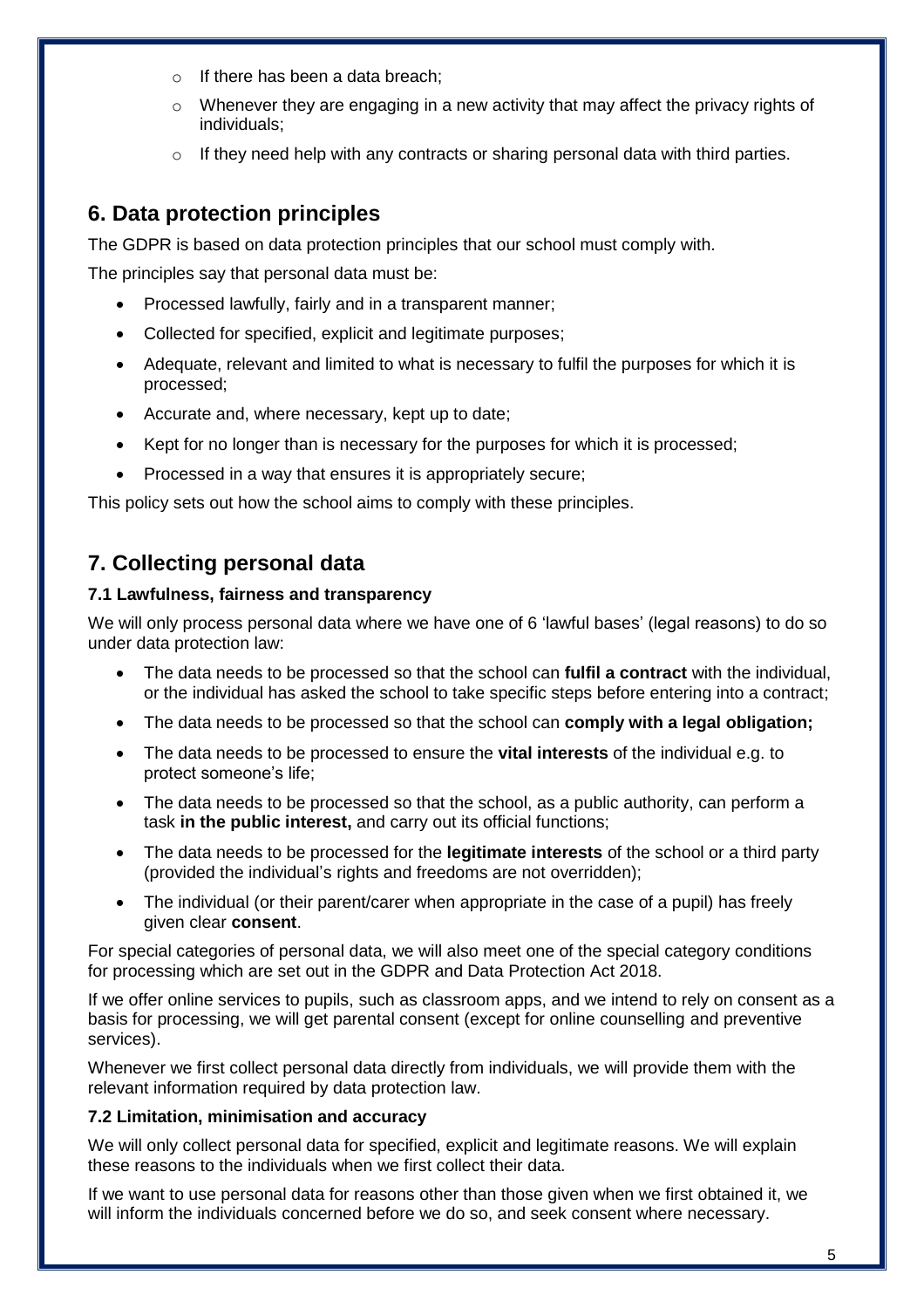- o If there has been a data breach;
- $\circ$  Whenever they are engaging in a new activity that may affect the privacy rights of individuals;
- $\circ$  If they need help with any contracts or sharing personal data with third parties.

# **6. Data protection principles**

The GDPR is based on data protection principles that our school must comply with.

The principles say that personal data must be:

- Processed lawfully, fairly and in a transparent manner;
- Collected for specified, explicit and legitimate purposes;
- Adequate, relevant and limited to what is necessary to fulfil the purposes for which it is processed;
- Accurate and, where necessary, kept up to date;
- Kept for no longer than is necessary for the purposes for which it is processed;
- Processed in a way that ensures it is appropriately secure;

This policy sets out how the school aims to comply with these principles.

# **7. Collecting personal data**

#### **7.1 Lawfulness, fairness and transparency**

We will only process personal data where we have one of 6 'lawful bases' (legal reasons) to do so under data protection law:

- The data needs to be processed so that the school can **fulfil a contract** with the individual, or the individual has asked the school to take specific steps before entering into a contract;
- The data needs to be processed so that the school can **comply with a legal obligation;**
- The data needs to be processed to ensure the **vital interests** of the individual e.g. to protect someone's life;
- The data needs to be processed so that the school, as a public authority, can perform a task **in the public interest,** and carry out its official functions;
- The data needs to be processed for the **legitimate interests** of the school or a third party (provided the individual's rights and freedoms are not overridden);
- The individual (or their parent/carer when appropriate in the case of a pupil) has freely given clear **consent**.

For special categories of personal data, we will also meet one of the special category conditions for processing which are set out in the GDPR and Data Protection Act 2018.

If we offer online services to pupils, such as classroom apps, and we intend to rely on consent as a basis for processing, we will get parental consent (except for online counselling and preventive services).

Whenever we first collect personal data directly from individuals, we will provide them with the relevant information required by data protection law.

#### **7.2 Limitation, minimisation and accuracy**

We will only collect personal data for specified, explicit and legitimate reasons. We will explain these reasons to the individuals when we first collect their data.

If we want to use personal data for reasons other than those given when we first obtained it, we will inform the individuals concerned before we do so, and seek consent where necessary.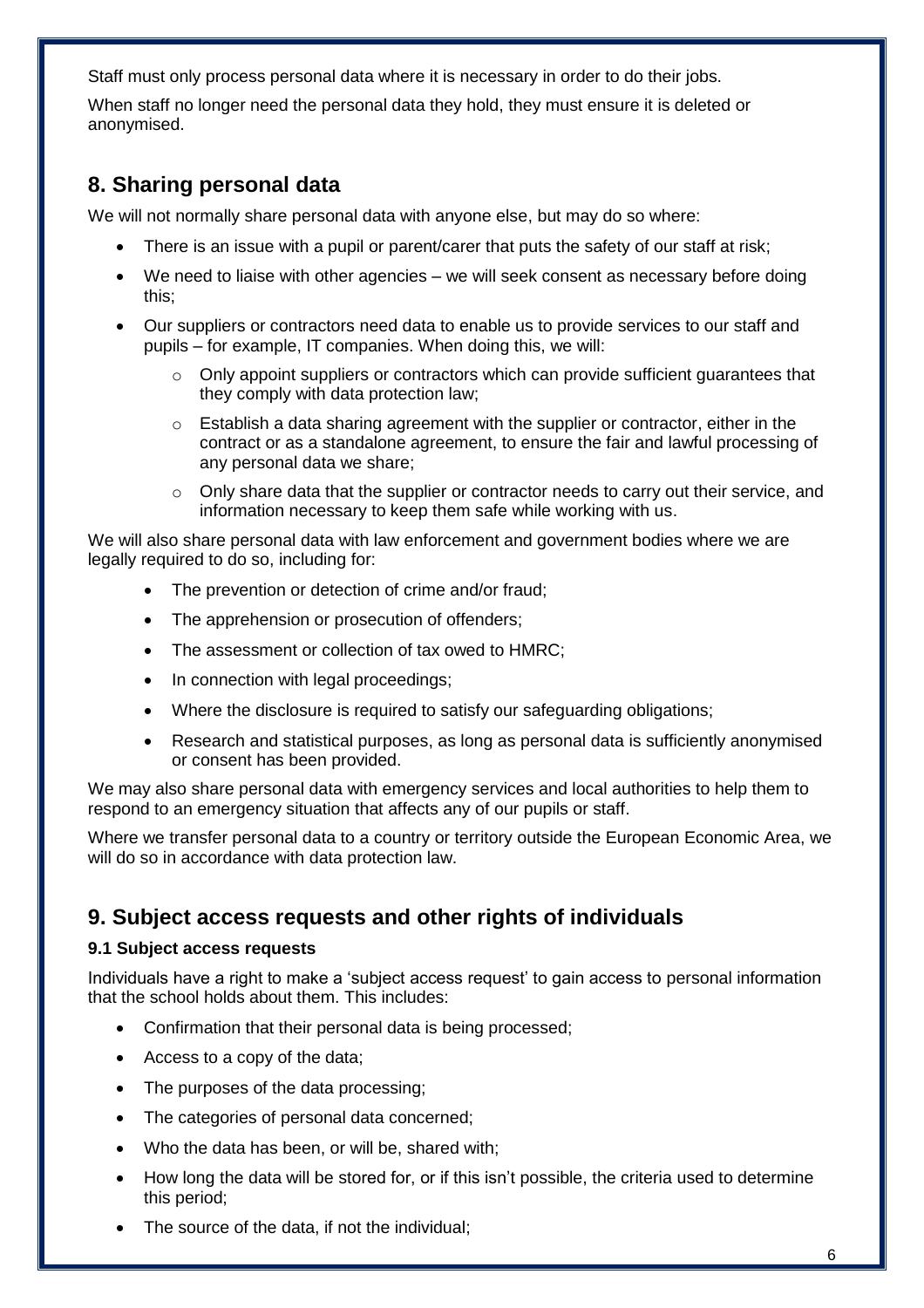Staff must only process personal data where it is necessary in order to do their jobs.

When staff no longer need the personal data they hold, they must ensure it is deleted or anonymised.

## **8. Sharing personal data**

We will not normally share personal data with anyone else, but may do so where:

- There is an issue with a pupil or parent/carer that puts the safety of our staff at risk;
- We need to liaise with other agencies we will seek consent as necessary before doing this;
- Our suppliers or contractors need data to enable us to provide services to our staff and pupils – for example, IT companies. When doing this, we will:
	- $\circ$  Only appoint suppliers or contractors which can provide sufficient guarantees that they comply with data protection law;
	- $\circ$  Establish a data sharing agreement with the supplier or contractor, either in the contract or as a standalone agreement, to ensure the fair and lawful processing of any personal data we share;
	- $\circ$  Only share data that the supplier or contractor needs to carry out their service, and information necessary to keep them safe while working with us.

We will also share personal data with law enforcement and government bodies where we are legally required to do so, including for:

- The prevention or detection of crime and/or fraud;
- The apprehension or prosecution of offenders;
- The assessment or collection of tax owed to HMRC;
- In connection with legal proceedings;
- Where the disclosure is required to satisfy our safeguarding obligations;
- Research and statistical purposes, as long as personal data is sufficiently anonymised or consent has been provided.

We may also share personal data with emergency services and local authorities to help them to respond to an emergency situation that affects any of our pupils or staff.

Where we transfer personal data to a country or territory outside the European Economic Area, we will do so in accordance with data protection law.

## **9. Subject access requests and other rights of individuals**

#### **9.1 Subject access requests**

Individuals have a right to make a 'subject access request' to gain access to personal information that the school holds about them. This includes:

- Confirmation that their personal data is being processed;
- Access to a copy of the data;
- The purposes of the data processing;
- The categories of personal data concerned;
- Who the data has been, or will be, shared with;
- How long the data will be stored for, or if this isn't possible, the criteria used to determine this period;
- The source of the data, if not the individual;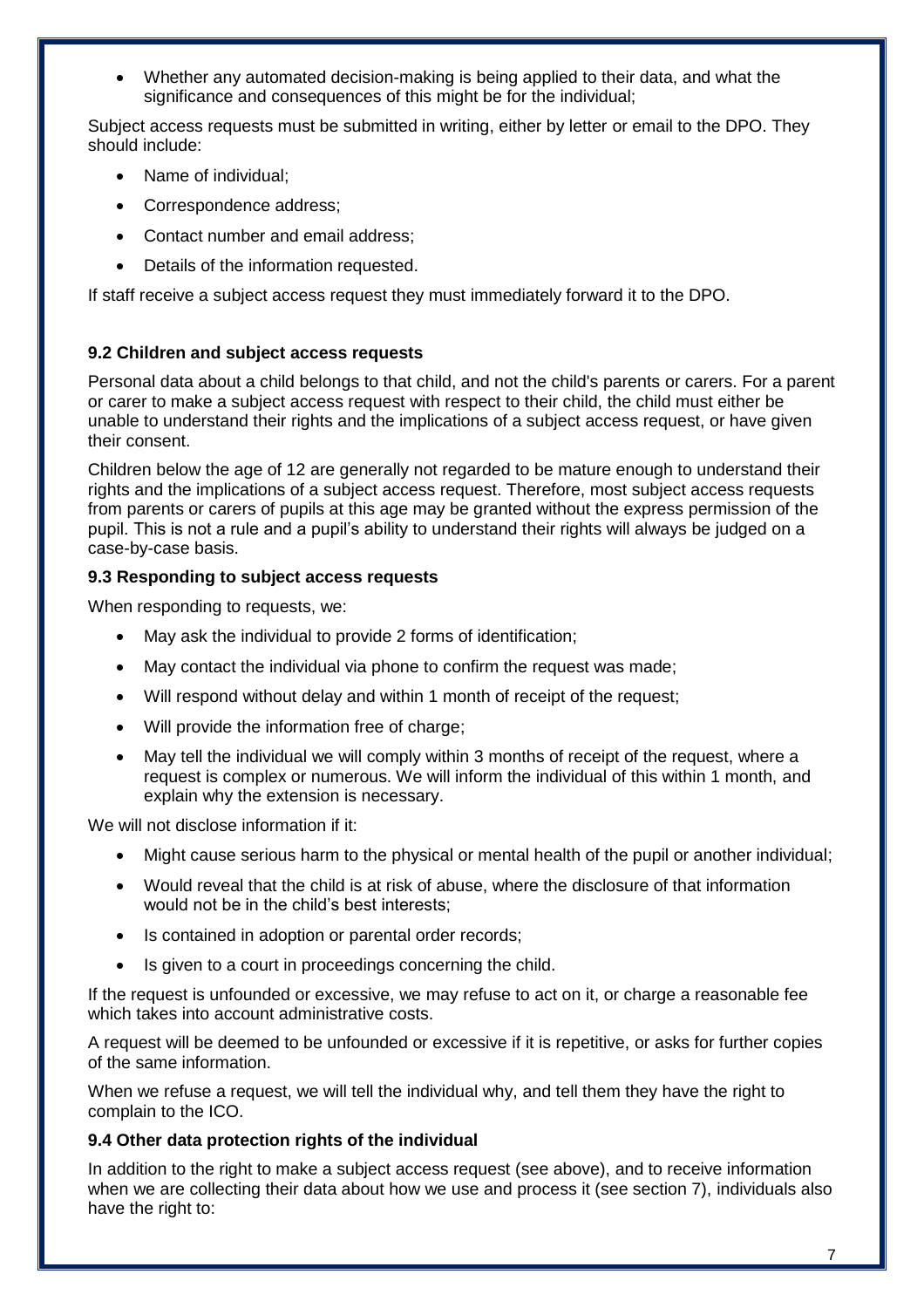Whether any automated decision-making is being applied to their data, and what the significance and consequences of this might be for the individual:

Subject access requests must be submitted in writing, either by letter or email to the DPO. They should include:

- Name of individual;
- Correspondence address;
- Contact number and email address;
- Details of the information requested.

If staff receive a subject access request they must immediately forward it to the DPO.

#### **9.2 Children and subject access requests**

Personal data about a child belongs to that child, and not the child's parents or carers. For a parent or carer to make a subject access request with respect to their child, the child must either be unable to understand their rights and the implications of a subject access request, or have given their consent.

Children below the age of 12 are generally not regarded to be mature enough to understand their rights and the implications of a subject access request. Therefore, most subject access requests from parents or carers of pupils at this age may be granted without the express permission of the pupil. This is not a rule and a pupil's ability to understand their rights will always be judged on a case-by-case basis.

#### **9.3 Responding to subject access requests**

When responding to requests, we:

- May ask the individual to provide 2 forms of identification;
- May contact the individual via phone to confirm the request was made;
- Will respond without delay and within 1 month of receipt of the request;
- Will provide the information free of charge;
- May tell the individual we will comply within 3 months of receipt of the request, where a request is complex or numerous. We will inform the individual of this within 1 month, and explain why the extension is necessary.

We will not disclose information if it:

- Might cause serious harm to the physical or mental health of the pupil or another individual;
- Would reveal that the child is at risk of abuse, where the disclosure of that information would not be in the child's best interests;
- Is contained in adoption or parental order records;
- Is given to a court in proceedings concerning the child.

If the request is unfounded or excessive, we may refuse to act on it, or charge a reasonable fee which takes into account administrative costs.

A request will be deemed to be unfounded or excessive if it is repetitive, or asks for further copies of the same information.

When we refuse a request, we will tell the individual why, and tell them they have the right to complain to the ICO.

#### **9.4 Other data protection rights of the individual**

In addition to the right to make a subject access request (see above), and to receive information when we are collecting their data about how we use and process it (see section 7), individuals also have the right to: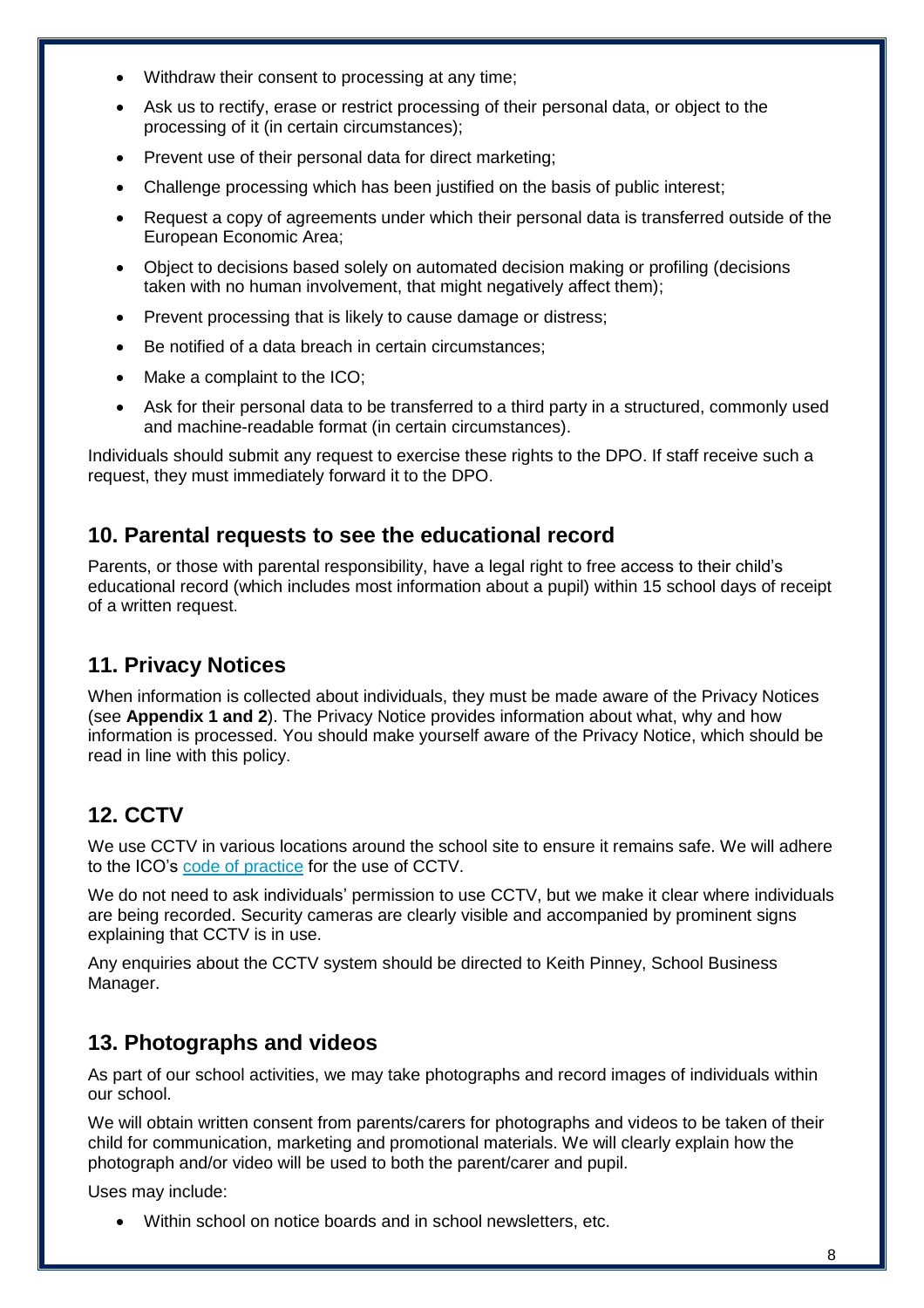- Withdraw their consent to processing at any time;
- Ask us to rectify, erase or restrict processing of their personal data, or object to the processing of it (in certain circumstances);
- Prevent use of their personal data for direct marketing;
- Challenge processing which has been justified on the basis of public interest;
- Request a copy of agreements under which their personal data is transferred outside of the European Economic Area;
- Object to decisions based solely on automated decision making or profiling (decisions taken with no human involvement, that might negatively affect them);
- Prevent processing that is likely to cause damage or distress;
- Be notified of a data breach in certain circumstances;
- Make a complaint to the ICO;
- Ask for their personal data to be transferred to a third party in a structured, commonly used and machine-readable format (in certain circumstances).

Individuals should submit any request to exercise these rights to the DPO. If staff receive such a request, they must immediately forward it to the DPO.

### **10. Parental requests to see the educational record**

Parents, or those with parental responsibility, have a legal right to free access to their child's educational record (which includes most information about a pupil) within 15 school days of receipt of a written request.

## **11. Privacy Notices**

When information is collected about individuals, they must be made aware of the Privacy Notices (see **Appendix 1 and 2**). The Privacy Notice provides information about what, why and how information is processed. You should make yourself aware of the Privacy Notice, which should be read in line with this policy.

# **12. CCTV**

We use CCTV in various locations around the school site to ensure it remains safe. We will adhere to the ICO's [code of practice](https://ico.org.uk/media/for-organisations/documents/1542/cctv-code-of-practice.pdf) for the use of CCTV.

We do not need to ask individuals' permission to use CCTV, but we make it clear where individuals are being recorded. Security cameras are clearly visible and accompanied by prominent signs explaining that CCTV is in use.

Any enquiries about the CCTV system should be directed to Keith Pinney, School Business Manager.

## **13. Photographs and videos**

As part of our school activities, we may take photographs and record images of individuals within our school.

We will obtain written consent from parents/carers for photographs and videos to be taken of their child for communication, marketing and promotional materials. We will clearly explain how the photograph and/or video will be used to both the parent/carer and pupil.

Uses may include:

Within school on notice boards and in school newsletters, etc.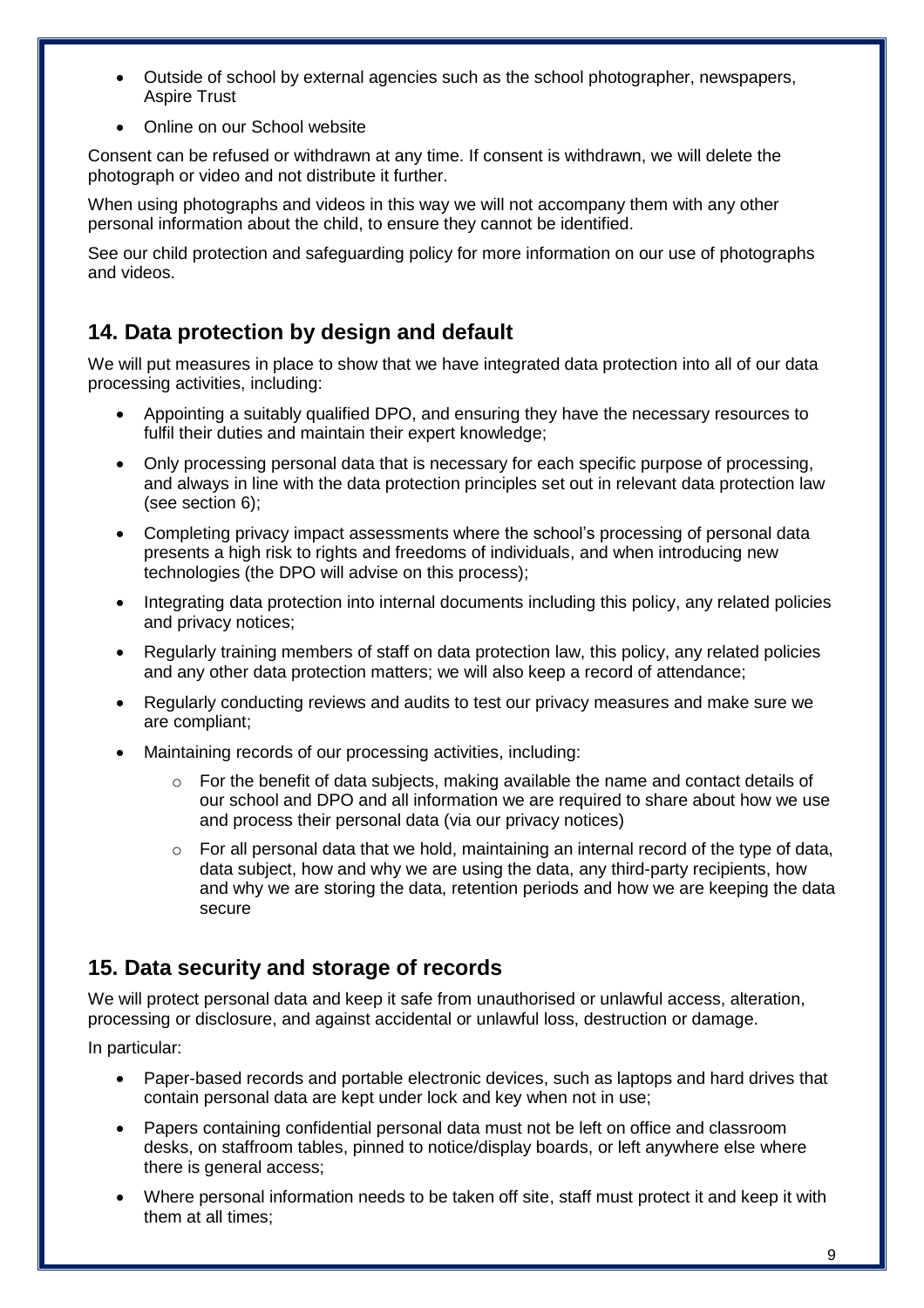- Outside of school by external agencies such as the school photographer, newspapers, Aspire Trust
- Online on our School website

Consent can be refused or withdrawn at any time. If consent is withdrawn, we will delete the photograph or video and not distribute it further.

When using photographs and videos in this way we will not accompany them with any other personal information about the child, to ensure they cannot be identified.

See our child protection and safeguarding policy for more information on our use of photographs and videos.

# **14. Data protection by design and default**

We will put measures in place to show that we have integrated data protection into all of our data processing activities, including:

- Appointing a suitably qualified DPO, and ensuring they have the necessary resources to fulfil their duties and maintain their expert knowledge;
- Only processing personal data that is necessary for each specific purpose of processing, and always in line with the data protection principles set out in relevant data protection law (see section 6);
- Completing privacy impact assessments where the school's processing of personal data presents a high risk to rights and freedoms of individuals, and when introducing new technologies (the DPO will advise on this process);
- Integrating data protection into internal documents including this policy, any related policies and privacy notices;
- Regularly training members of staff on data protection law, this policy, any related policies and any other data protection matters; we will also keep a record of attendance;
- Regularly conducting reviews and audits to test our privacy measures and make sure we are compliant;
- Maintaining records of our processing activities, including:
	- o For the benefit of data subjects, making available the name and contact details of our school and DPO and all information we are required to share about how we use and process their personal data (via our privacy notices)
	- $\circ$  For all personal data that we hold, maintaining an internal record of the type of data, data subject, how and why we are using the data, any third-party recipients, how and why we are storing the data, retention periods and how we are keeping the data secure

# **15. Data security and storage of records**

We will protect personal data and keep it safe from unauthorised or unlawful access, alteration, processing or disclosure, and against accidental or unlawful loss, destruction or damage.

In particular:

- Paper-based records and portable electronic devices, such as laptops and hard drives that contain personal data are kept under lock and key when not in use;
- Papers containing confidential personal data must not be left on office and classroom desks, on staffroom tables, pinned to notice/display boards, or left anywhere else where there is general access;
- Where personal information needs to be taken off site, staff must protect it and keep it with them at all times;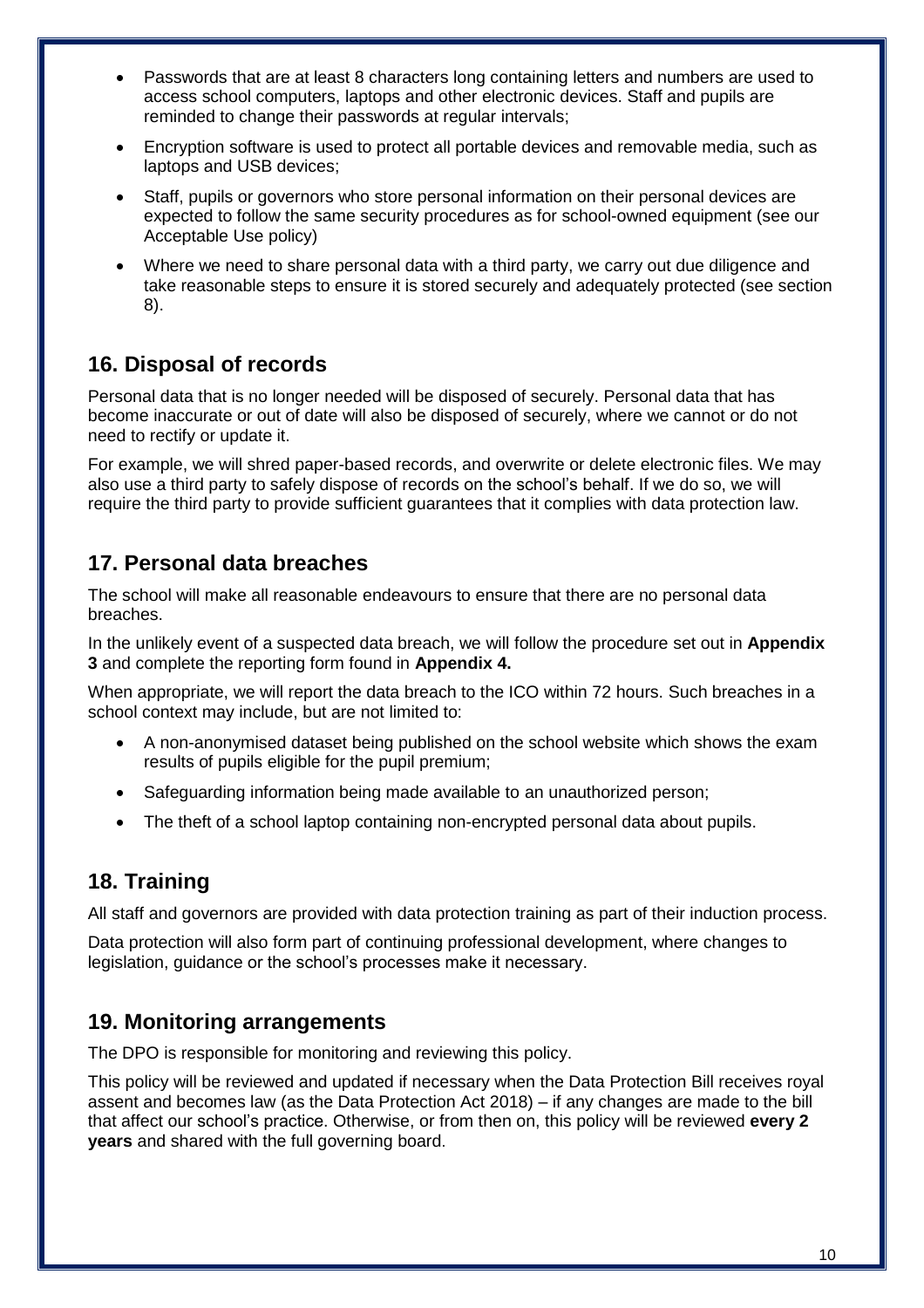- Passwords that are at least 8 characters long containing letters and numbers are used to access school computers, laptops and other electronic devices. Staff and pupils are reminded to change their passwords at regular intervals;
- Encryption software is used to protect all portable devices and removable media, such as laptops and USB devices;
- Staff, pupils or governors who store personal information on their personal devices are expected to follow the same security procedures as for school-owned equipment (see our Acceptable Use policy)
- Where we need to share personal data with a third party, we carry out due diligence and take reasonable steps to ensure it is stored securely and adequately protected (see section 8).

# **16. Disposal of records**

Personal data that is no longer needed will be disposed of securely. Personal data that has become inaccurate or out of date will also be disposed of securely, where we cannot or do not need to rectify or update it.

For example, we will shred paper-based records, and overwrite or delete electronic files. We may also use a third party to safely dispose of records on the school's behalf. If we do so, we will require the third party to provide sufficient guarantees that it complies with data protection law.

# **17. Personal data breaches**

The school will make all reasonable endeavours to ensure that there are no personal data breaches.

In the unlikely event of a suspected data breach, we will follow the procedure set out in **Appendix 3** and complete the reporting form found in **Appendix 4.**

When appropriate, we will report the data breach to the ICO within 72 hours. Such breaches in a school context may include, but are not limited to:

- A non-anonymised dataset being published on the school website which shows the exam results of pupils eligible for the pupil premium;
- Safeguarding information being made available to an unauthorized person;
- The theft of a school laptop containing non-encrypted personal data about pupils.

# **18. Training**

All staff and governors are provided with data protection training as part of their induction process.

Data protection will also form part of continuing professional development, where changes to legislation, guidance or the school's processes make it necessary.

## **19. Monitoring arrangements**

The DPO is responsible for monitoring and reviewing this policy.

This policy will be reviewed and updated if necessary when the Data Protection Bill receives royal assent and becomes law (as the Data Protection Act 2018) – if any changes are made to the bill that affect our school's practice. Otherwise, or from then on, this policy will be reviewed **every 2 years** and shared with the full governing board.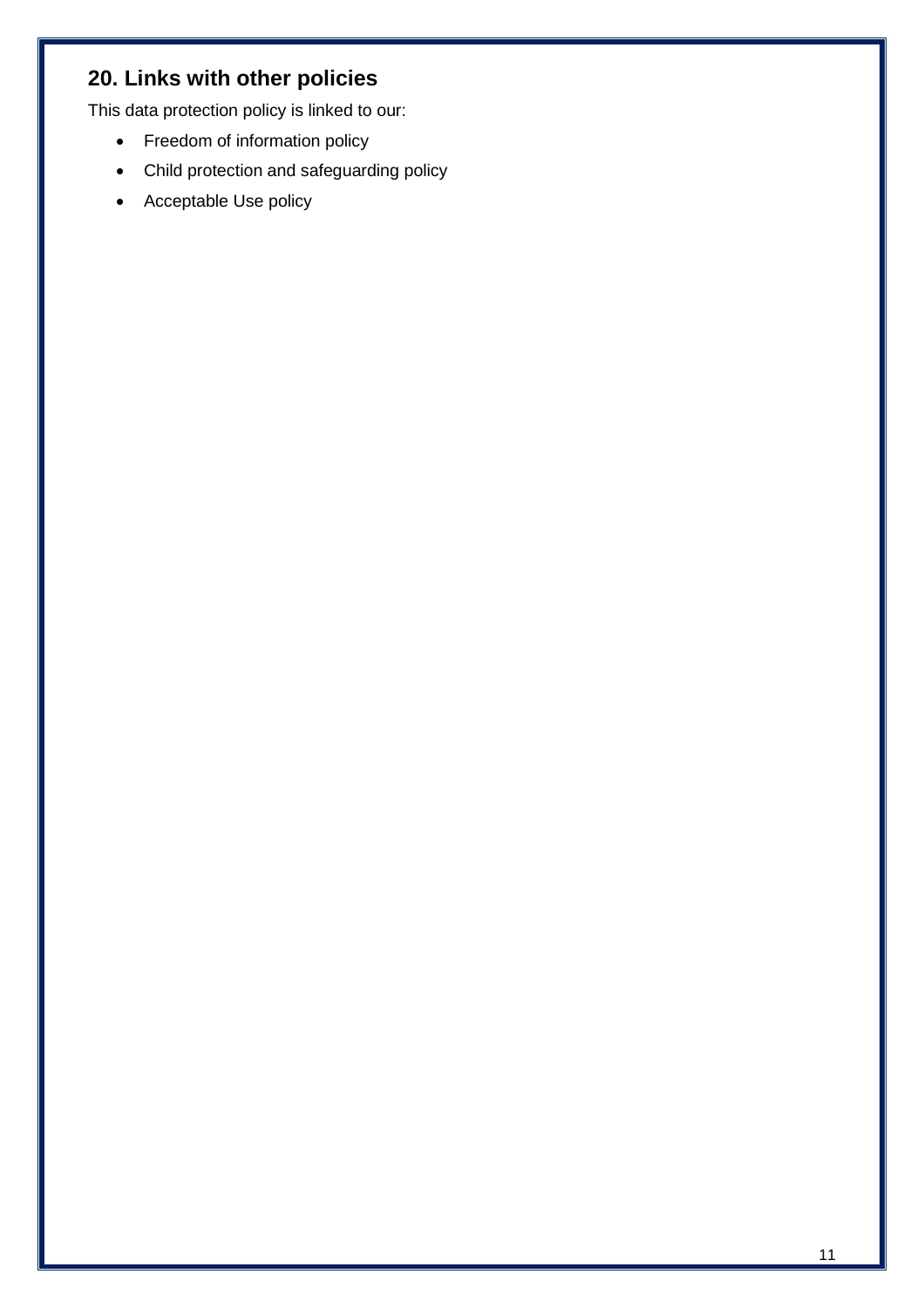# **20. Links with other policies**

This data protection policy is linked to our:

- Freedom of information policy
- Child protection and safeguarding policy
- Acceptable Use policy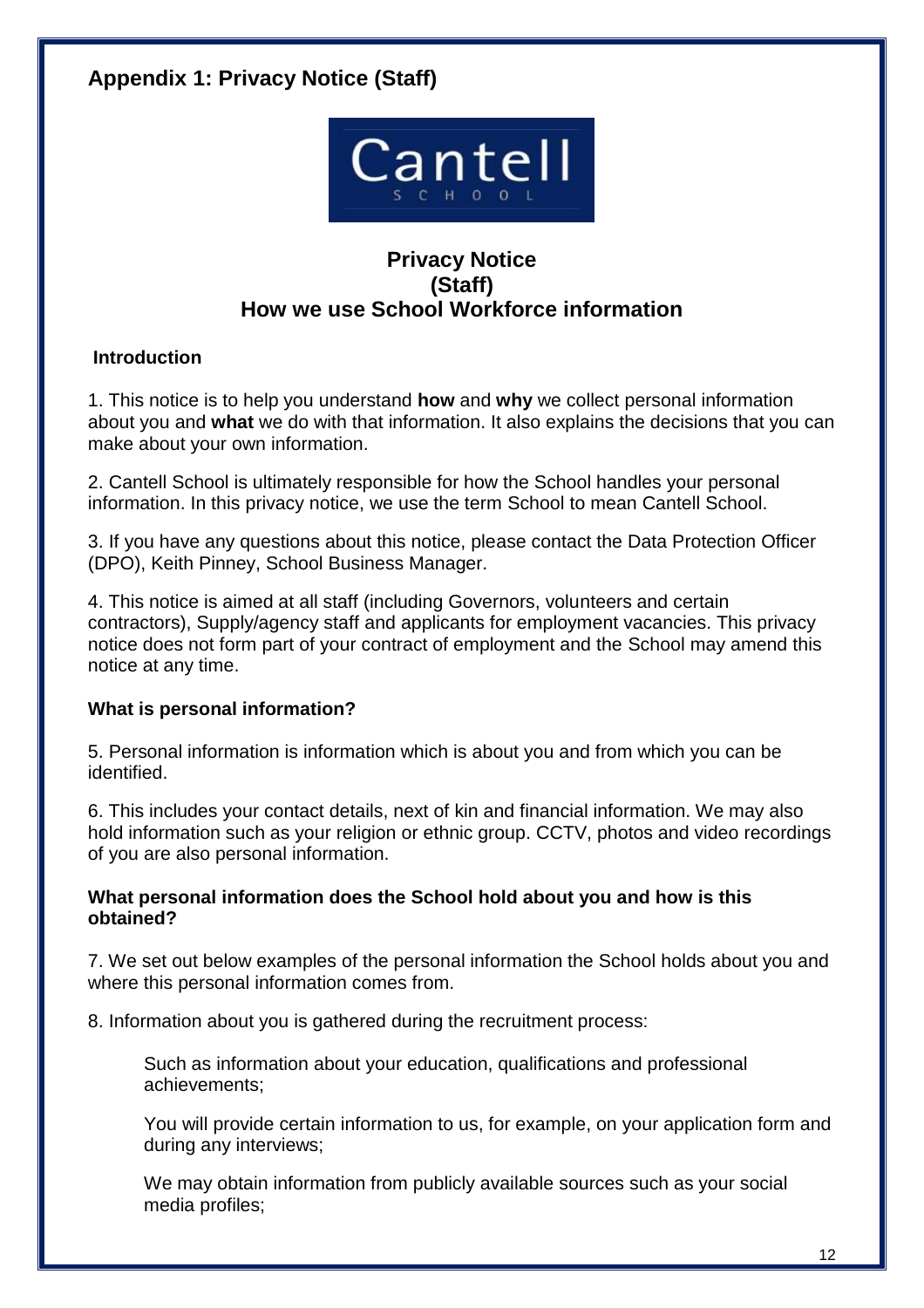# **Appendix 1: Privacy Notice (Staff)**



## **Privacy Notice (Staff) How we use School Workforce information**

### **Introduction**

1. This notice is to help you understand **how** and **why** we collect personal information about you and **what** we do with that information. It also explains the decisions that you can make about your own information.

2. Cantell School is ultimately responsible for how the School handles your personal information. In this privacy notice, we use the term School to mean Cantell School.

3. If you have any questions about this notice, please contact the Data Protection Officer (DPO), Keith Pinney, School Business Manager.

4. This notice is aimed at all staff (including Governors, volunteers and certain contractors), Supply/agency staff and applicants for employment vacancies. This privacy notice does not form part of your contract of employment and the School may amend this notice at any time.

### **What is personal information?**

5. Personal information is information which is about you and from which you can be identified.

6. This includes your contact details, next of kin and financial information. We may also hold information such as your religion or ethnic group. CCTV, photos and video recordings of you are also personal information.

### **What personal information does the School hold about you and how is this obtained?**

7. We set out below examples of the personal information the School holds about you and where this personal information comes from.

8. Information about you is gathered during the recruitment process:

Such as information about your education, qualifications and professional achievements;

You will provide certain information to us, for example, on your application form and during any interviews;

We may obtain information from publicly available sources such as your social media profiles;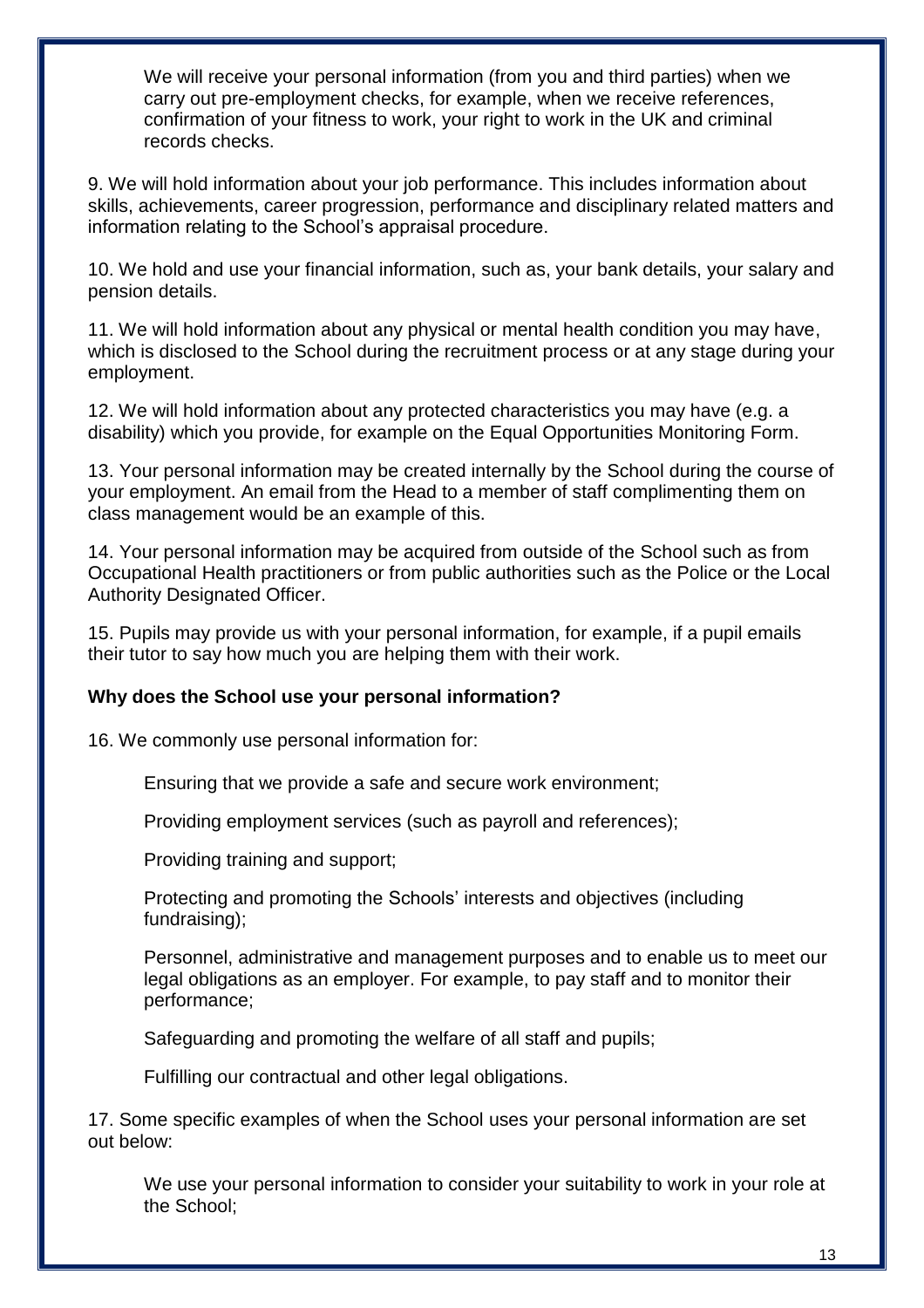We will receive your personal information (from you and third parties) when we carry out pre-employment checks, for example, when we receive references, confirmation of your fitness to work, your right to work in the UK and criminal records checks.

9. We will hold information about your job performance. This includes information about skills, achievements, career progression, performance and disciplinary related matters and information relating to the School's appraisal procedure.

10. We hold and use your financial information, such as, your bank details, your salary and pension details.

11. We will hold information about any physical or mental health condition you may have, which is disclosed to the School during the recruitment process or at any stage during your employment.

12. We will hold information about any protected characteristics you may have (e.g. a disability) which you provide, for example on the Equal Opportunities Monitoring Form.

13. Your personal information may be created internally by the School during the course of your employment. An email from the Head to a member of staff complimenting them on class management would be an example of this.

14. Your personal information may be acquired from outside of the School such as from Occupational Health practitioners or from public authorities such as the Police or the Local Authority Designated Officer.

15. Pupils may provide us with your personal information, for example, if a pupil emails their tutor to say how much you are helping them with their work.

### **Why does the School use your personal information?**

16. We commonly use personal information for:

Ensuring that we provide a safe and secure work environment;

Providing employment services (such as payroll and references);

Providing training and support;

Protecting and promoting the Schools' interests and objectives (including fundraising);

Personnel, administrative and management purposes and to enable us to meet our legal obligations as an employer. For example, to pay staff and to monitor their performance;

Safeguarding and promoting the welfare of all staff and pupils;

Fulfilling our contractual and other legal obligations.

17. Some specific examples of when the School uses your personal information are set out below:

We use your personal information to consider your suitability to work in your role at the School;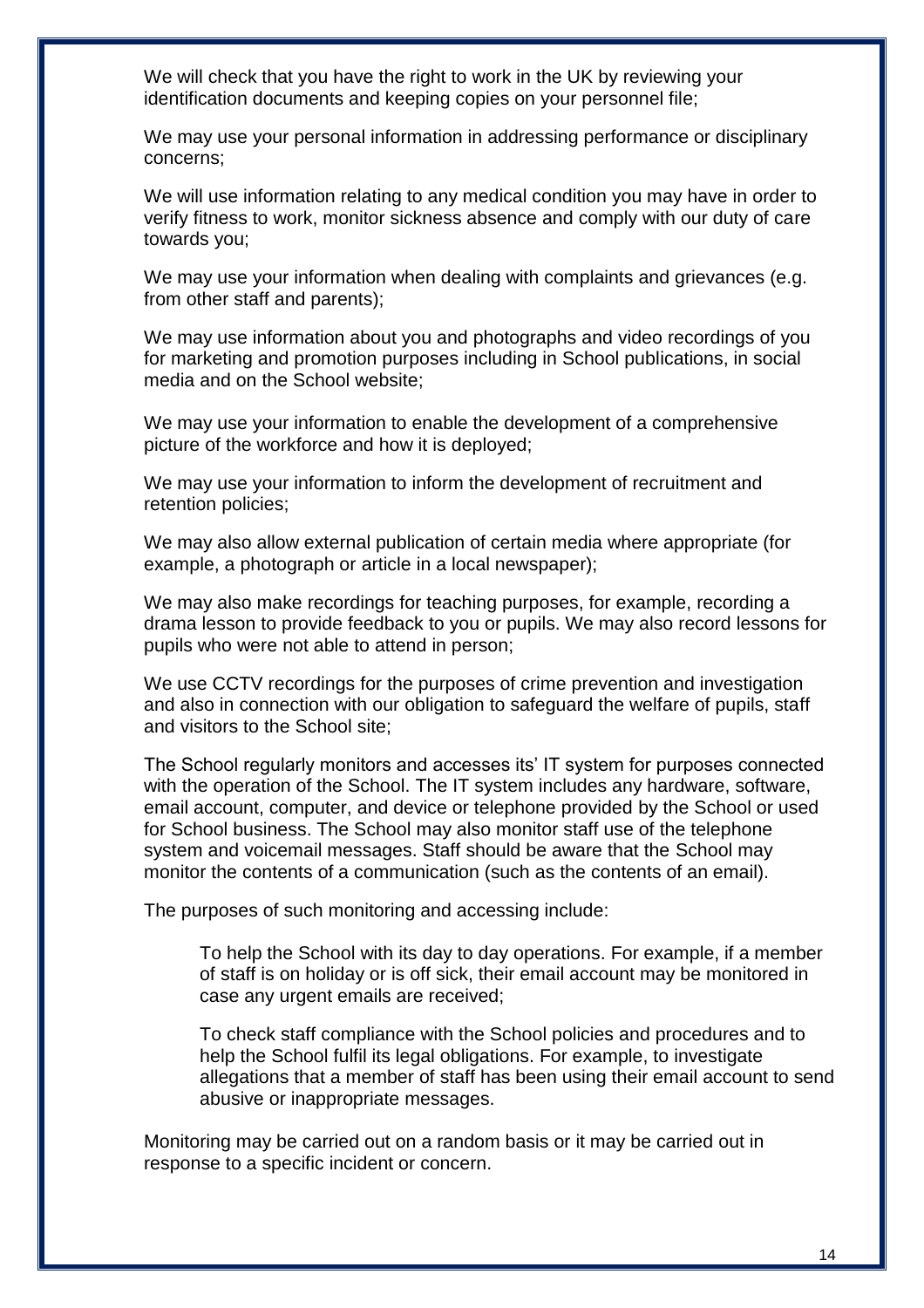We will check that you have the right to work in the UK by reviewing your identification documents and keeping copies on your personnel file;

We may use your personal information in addressing performance or disciplinary concerns;

We will use information relating to any medical condition you may have in order to verify fitness to work, monitor sickness absence and comply with our duty of care towards you;

We may use your information when dealing with complaints and grievances (e.g. from other staff and parents);

We may use information about you and photographs and video recordings of you for marketing and promotion purposes including in School publications, in social media and on the School website;

We may use your information to enable the development of a comprehensive picture of the workforce and how it is deployed;

We may use your information to inform the development of recruitment and retention policies;

We may also allow external publication of certain media where appropriate (for example, a photograph or article in a local newspaper);

We may also make recordings for teaching purposes, for example, recording a drama lesson to provide feedback to you or pupils. We may also record lessons for pupils who were not able to attend in person;

We use CCTV recordings for the purposes of crime prevention and investigation and also in connection with our obligation to safeguard the welfare of pupils, staff and visitors to the School site;

The School regularly monitors and accesses its' IT system for purposes connected with the operation of the School. The IT system includes any hardware, software, email account, computer, and device or telephone provided by the School or used for School business. The School may also monitor staff use of the telephone system and voicemail messages. Staff should be aware that the School may monitor the contents of a communication (such as the contents of an email).

The purposes of such monitoring and accessing include:

To help the School with its day to day operations. For example, if a member of staff is on holiday or is off sick, their email account may be monitored in case any urgent emails are received;

To check staff compliance with the School policies and procedures and to help the School fulfil its legal obligations. For example, to investigate allegations that a member of staff has been using their email account to send abusive or inappropriate messages.

Monitoring may be carried out on a random basis or it may be carried out in response to a specific incident or concern.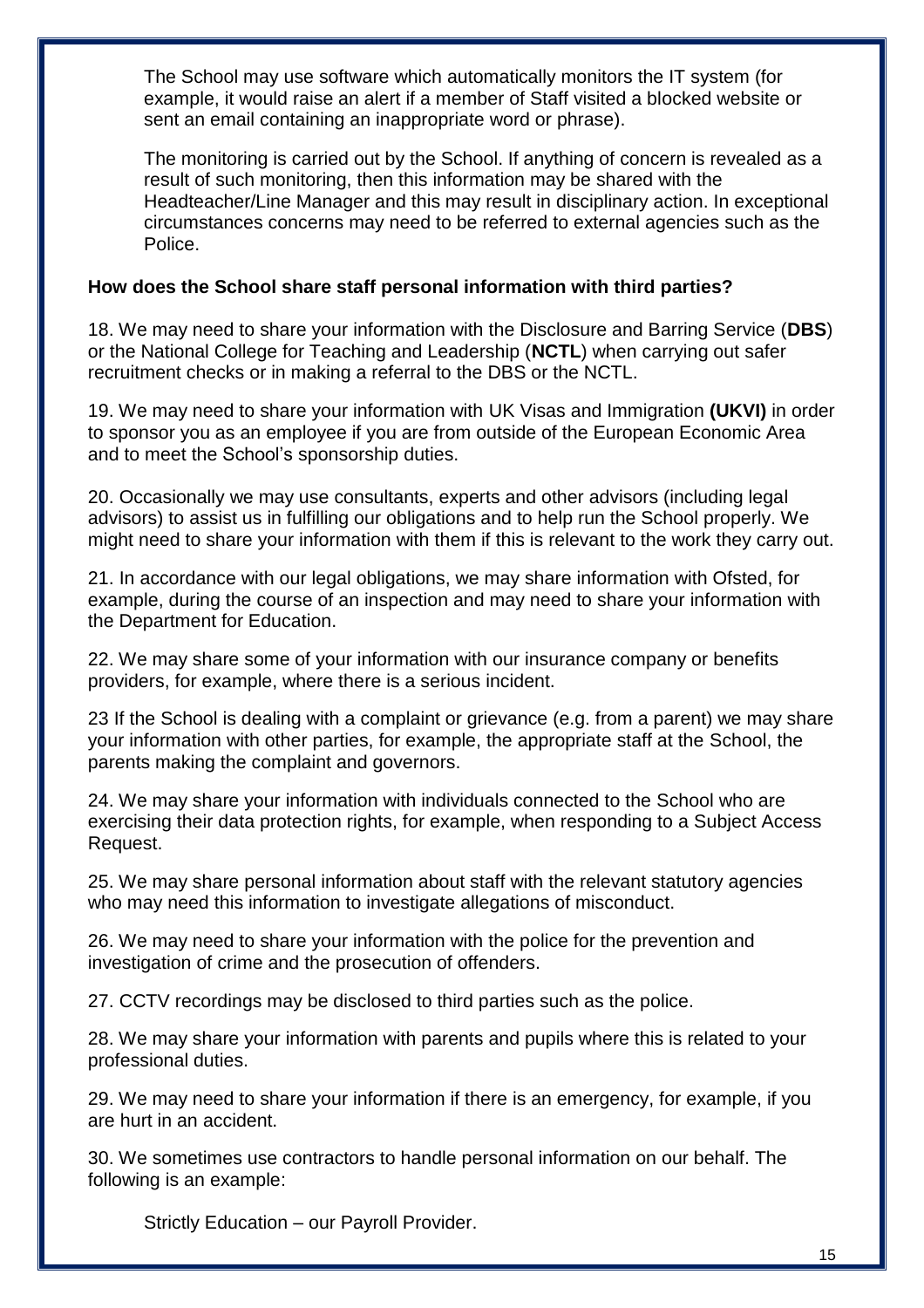The School may use software which automatically monitors the IT system (for example, it would raise an alert if a member of Staff visited a blocked website or sent an email containing an inappropriate word or phrase).

The monitoring is carried out by the School. If anything of concern is revealed as a result of such monitoring, then this information may be shared with the Headteacher/Line Manager and this may result in disciplinary action. In exceptional circumstances concerns may need to be referred to external agencies such as the Police.

### **How does the School share staff personal information with third parties?**

18. We may need to share your information with the Disclosure and Barring Service (**DBS**) or the National College for Teaching and Leadership (**NCTL**) when carrying out safer recruitment checks or in making a referral to the DBS or the NCTL.

19. We may need to share your information with UK Visas and Immigration **(UKVI)** in order to sponsor you as an employee if you are from outside of the European Economic Area and to meet the School's sponsorship duties.

20. Occasionally we may use consultants, experts and other advisors (including legal advisors) to assist us in fulfilling our obligations and to help run the School properly. We might need to share your information with them if this is relevant to the work they carry out.

21. In accordance with our legal obligations, we may share information with Ofsted, for example, during the course of an inspection and may need to share your information with the Department for Education.

22. We may share some of your information with our insurance company or benefits providers, for example, where there is a serious incident.

23 If the School is dealing with a complaint or grievance (e.g. from a parent) we may share your information with other parties, for example, the appropriate staff at the School, the parents making the complaint and governors.

24. We may share your information with individuals connected to the School who are exercising their data protection rights, for example, when responding to a Subject Access Request.

25. We may share personal information about staff with the relevant statutory agencies who may need this information to investigate allegations of misconduct.

26. We may need to share your information with the police for the prevention and investigation of crime and the prosecution of offenders.

27. CCTV recordings may be disclosed to third parties such as the police.

28. We may share your information with parents and pupils where this is related to your professional duties.

29. We may need to share your information if there is an emergency, for example, if you are hurt in an accident.

30. We sometimes use contractors to handle personal information on our behalf. The following is an example:

Strictly Education – our Payroll Provider.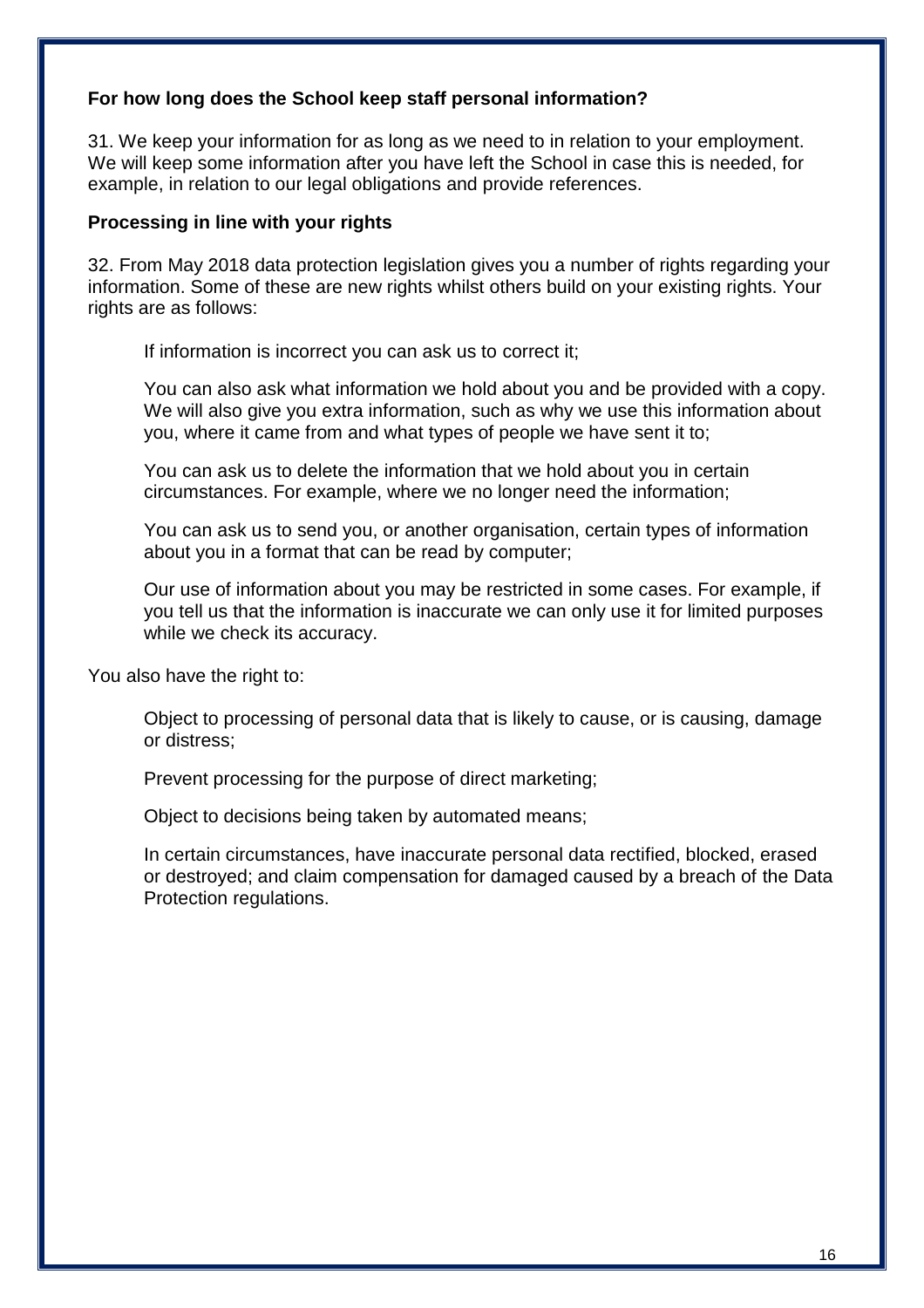### **For how long does the School keep staff personal information?**

31. We keep your information for as long as we need to in relation to your employment. We will keep some information after you have left the School in case this is needed, for example, in relation to our legal obligations and provide references.

#### **Processing in line with your rights**

32. From May 2018 data protection legislation gives you a number of rights regarding your information. Some of these are new rights whilst others build on your existing rights. Your rights are as follows:

If information is incorrect you can ask us to correct it;

You can also ask what information we hold about you and be provided with a copy. We will also give you extra information, such as why we use this information about you, where it came from and what types of people we have sent it to;

You can ask us to delete the information that we hold about you in certain circumstances. For example, where we no longer need the information;

You can ask us to send you, or another organisation, certain types of information about you in a format that can be read by computer;

Our use of information about you may be restricted in some cases. For example, if you tell us that the information is inaccurate we can only use it for limited purposes while we check its accuracy.

You also have the right to:

Object to processing of personal data that is likely to cause, or is causing, damage or distress;

Prevent processing for the purpose of direct marketing;

Object to decisions being taken by automated means;

In certain circumstances, have inaccurate personal data rectified, blocked, erased or destroyed; and claim compensation for damaged caused by a breach of the Data Protection regulations.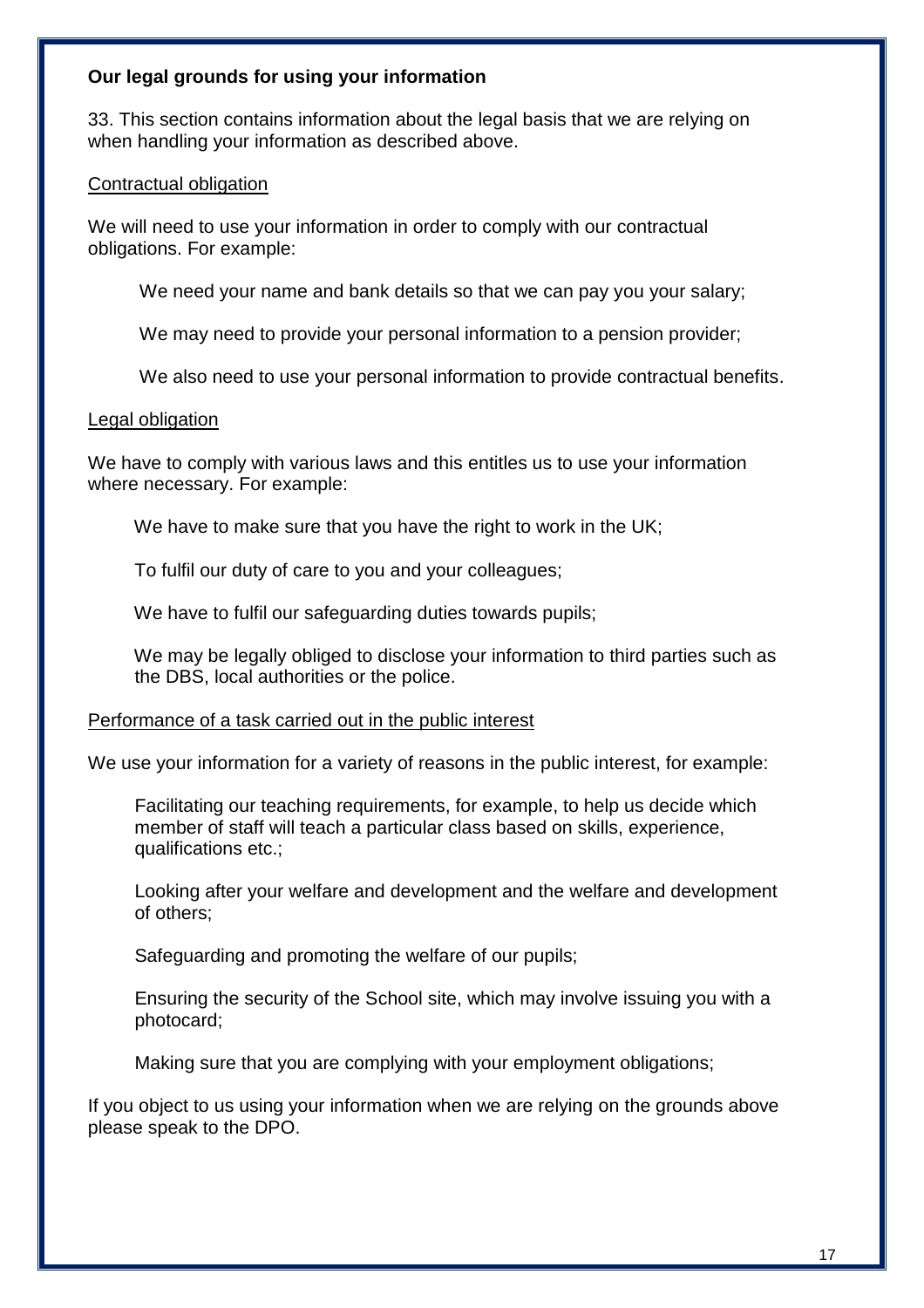### **Our legal grounds for using your information**

33. This section contains information about the legal basis that we are relying on when handling your information as described above.

#### Contractual obligation

We will need to use your information in order to comply with our contractual obligations. For example:

We need your name and bank details so that we can pay you your salary;

We may need to provide your personal information to a pension provider;

We also need to use your personal information to provide contractual benefits.

#### Legal obligation

We have to comply with various laws and this entitles us to use your information where necessary. For example:

We have to make sure that you have the right to work in the UK;

To fulfil our duty of care to you and your colleagues;

We have to fulfil our safeguarding duties towards pupils;

 We may be legally obliged to disclose your information to third parties such as the DBS, local authorities or the police.

#### Performance of a task carried out in the public interest

We use your information for a variety of reasons in the public interest, for example:

 Facilitating our teaching requirements, for example, to help us decide which member of staff will teach a particular class based on skills, experience, qualifications etc.;

 Looking after your welfare and development and the welfare and development of others;

Safeguarding and promoting the welfare of our pupils;

 Ensuring the security of the School site, which may involve issuing you with a photocard;

Making sure that you are complying with your employment obligations;

If you object to us using your information when we are relying on the grounds above please speak to the DPO.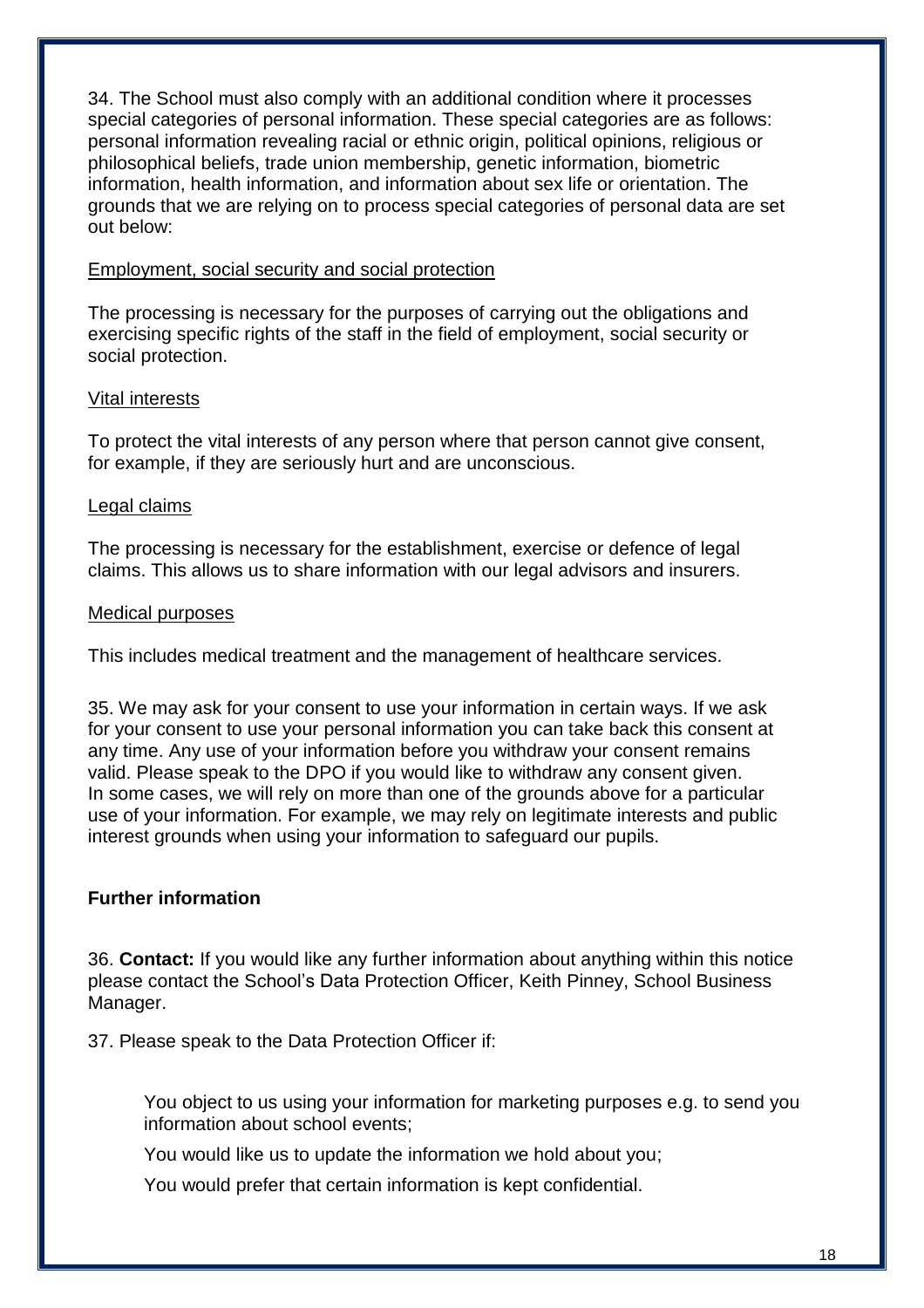34. The School must also comply with an additional condition where it processes special categories of personal information. These special categories are as follows: personal information revealing racial or ethnic origin, political opinions, religious or philosophical beliefs, trade union membership, genetic information, biometric information, health information, and information about sex life or orientation. The grounds that we are relying on to process special categories of personal data are set out below:

### Employment, social security and social protection

The processing is necessary for the purposes of carrying out the obligations and exercising specific rights of the staff in the field of employment, social security or social protection.

### Vital interests

To protect the vital interests of any person where that person cannot give consent, for example, if they are seriously hurt and are unconscious.

#### Legal claims

The processing is necessary for the establishment, exercise or defence of legal claims. This allows us to share information with our legal advisors and insurers.

#### Medical purposes

This includes medical treatment and the management of healthcare services.

35. We may ask for your consent to use your information in certain ways. If we ask for your consent to use your personal information you can take back this consent at any time. Any use of your information before you withdraw your consent remains valid. Please speak to the DPO if you would like to withdraw any consent given. In some cases, we will rely on more than one of the grounds above for a particular use of your information. For example, we may rely on legitimate interests and public interest grounds when using your information to safeguard our pupils.

### **Further information**

36. **Contact:** If you would like any further information about anything within this notice please contact the School's Data Protection Officer, Keith Pinney, School Business Manager.

37. Please speak to the Data Protection Officer if:

You object to us using your information for marketing purposes e.g. to send you information about school events;

You would like us to update the information we hold about you;

You would prefer that certain information is kept confidential.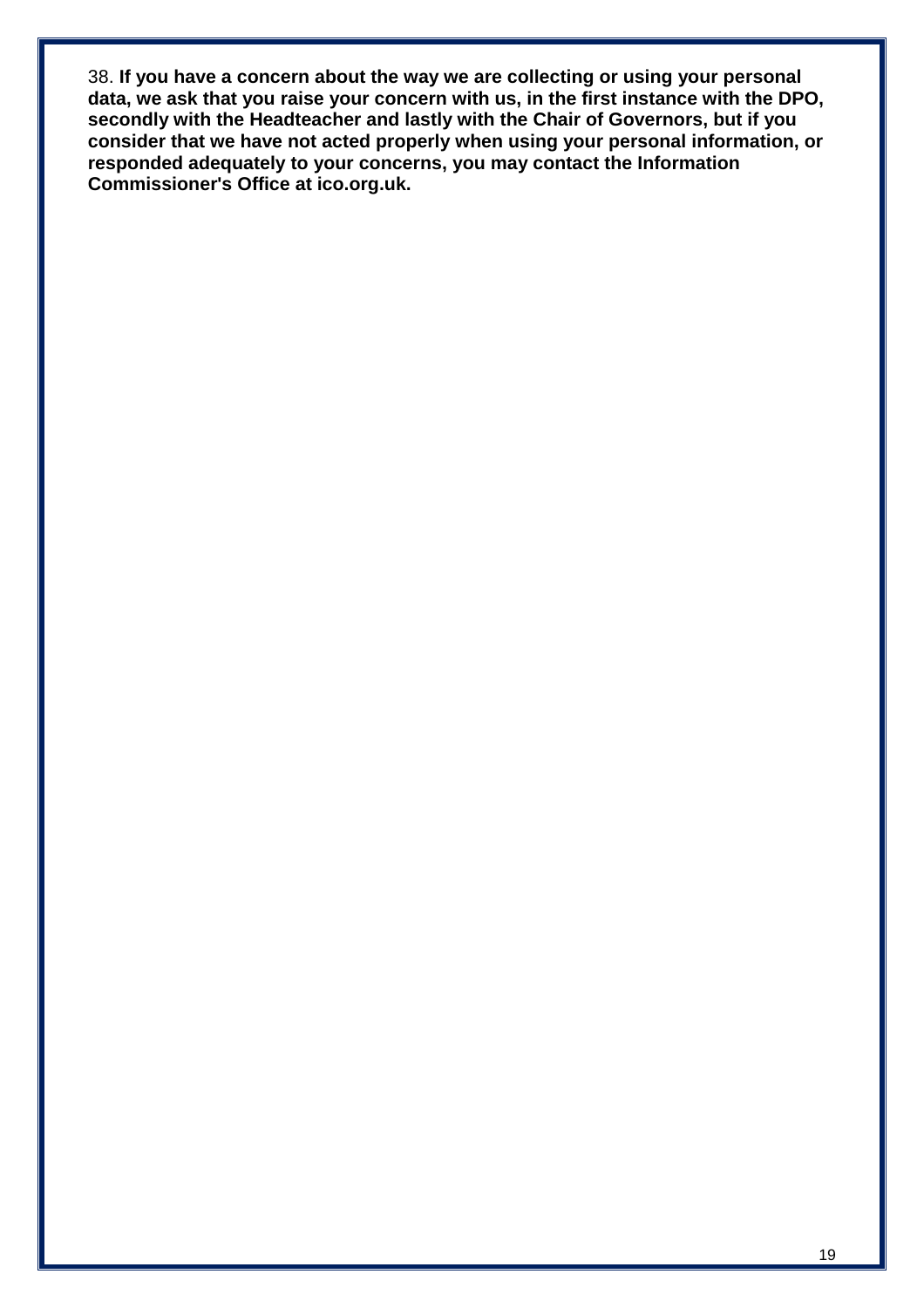38. **If you have a concern about the way we are collecting or using your personal data, we ask that you raise your concern with us, in the first instance with the DPO, secondly with the Headteacher and lastly with the Chair of Governors, but if you consider that we have not acted properly when using your personal information, or responded adequately to your concerns, you may contact the Information Commissioner's Office at ico.org.uk.**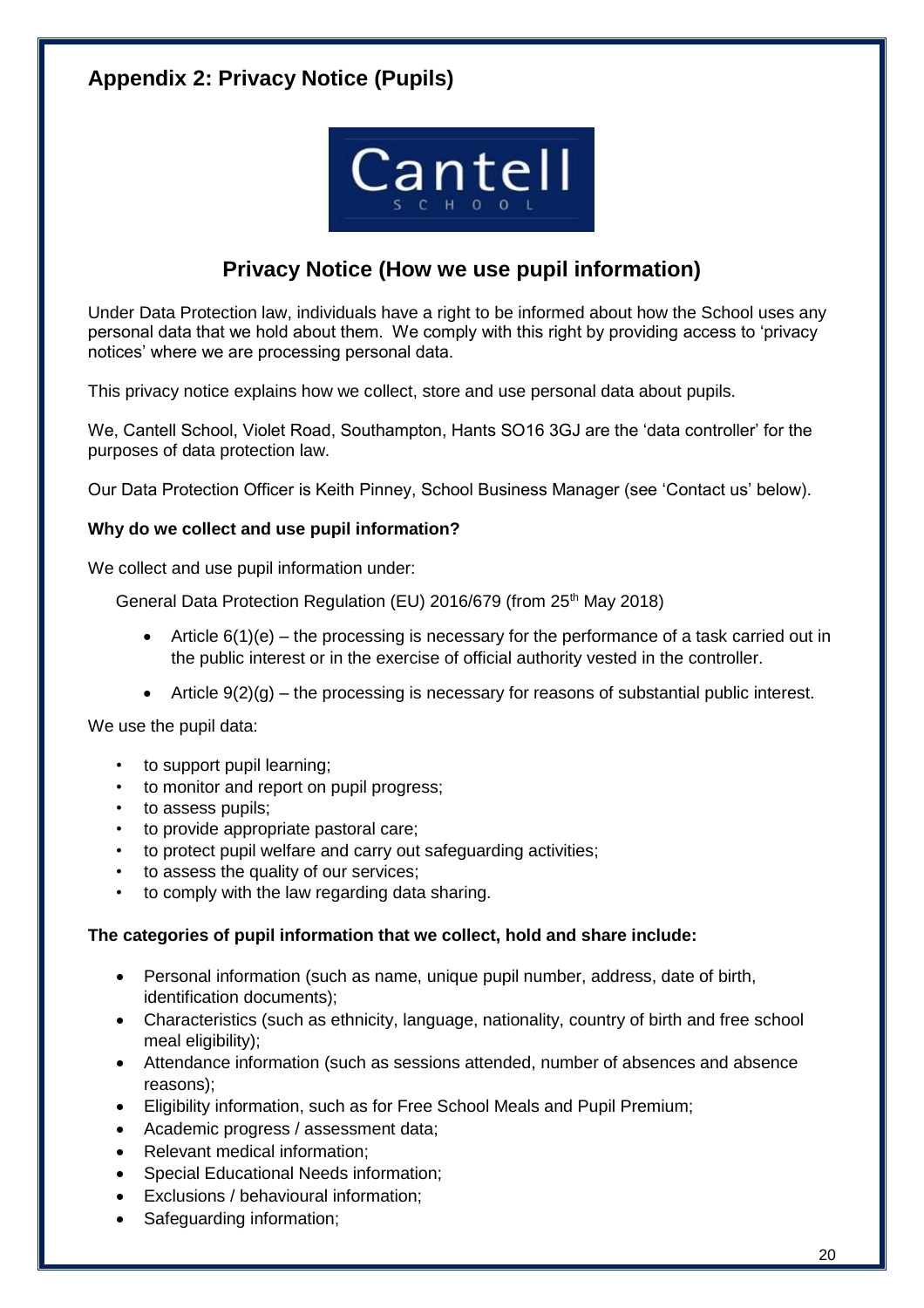# **Appendix 2: Privacy Notice (Pupils)**



# **Privacy Notice (How we use pupil information)**

Under Data Protection law, individuals have a right to be informed about how the School uses any personal data that we hold about them. We comply with this right by providing access to 'privacy notices' where we are processing personal data.

This privacy notice explains how we collect, store and use personal data about pupils.

We, Cantell School, Violet Road, Southampton, Hants SO16 3GJ are the 'data controller' for the purposes of data protection law.

Our Data Protection Officer is Keith Pinney, School Business Manager (see 'Contact us' below).

#### **Why do we collect and use pupil information?**

We collect and use pupil information under:

General Data Protection Regulation (EU) 2016/679 (from 25<sup>th</sup> May 2018)

- Article  $6(1)(e)$  the processing is necessary for the performance of a task carried out in the public interest or in the exercise of official authority vested in the controller.
- Article  $9(2)(q)$  the processing is necessary for reasons of substantial public interest.

We use the pupil data:

- to support pupil learning;
- to monitor and report on pupil progress;
- to assess pupils;
- to provide appropriate pastoral care;
- to protect pupil welfare and carry out safeguarding activities;
- to assess the quality of our services;
- to comply with the law regarding data sharing.

#### **The categories of pupil information that we collect, hold and share include:**

- Personal information (such as name, unique pupil number, address, date of birth, identification documents);
- Characteristics (such as ethnicity, language, nationality, country of birth and free school meal eligibility);
- Attendance information (such as sessions attended, number of absences and absence reasons);
- Eligibility information, such as for Free School Meals and Pupil Premium;
- Academic progress / assessment data;
- Relevant medical information;
- Special Educational Needs information;
- Exclusions / behavioural information;
- Safeguarding information;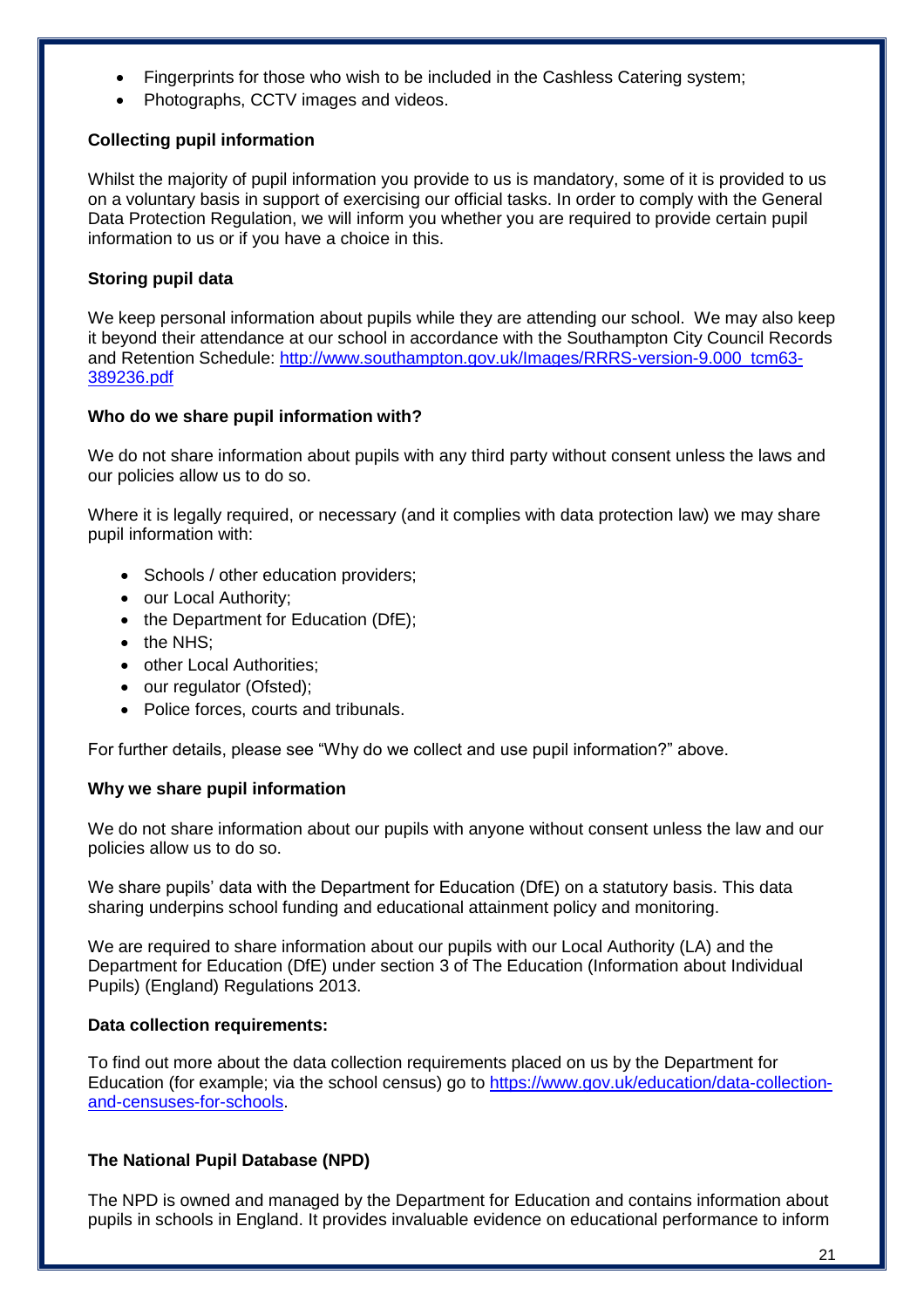- Fingerprints for those who wish to be included in the Cashless Catering system;
- Photographs, CCTV images and videos.

#### **Collecting pupil information**

Whilst the majority of pupil information you provide to us is mandatory, some of it is provided to us on a voluntary basis in support of exercising our official tasks. In order to comply with the General Data Protection Regulation, we will inform you whether you are required to provide certain pupil information to us or if you have a choice in this.

#### **Storing pupil data**

We keep personal information about pupils while they are attending our school. We may also keep it beyond their attendance at our school in accordance with the Southampton City Council Records and Retention Schedule: [http://www.southampton.gov.uk/Images/RRRS-version-9.000\\_tcm63-](http://www.southampton.gov.uk/Images/RRRS-version-9.000_tcm63-389236.pdf) [389236.pdf](http://www.southampton.gov.uk/Images/RRRS-version-9.000_tcm63-389236.pdf)

#### **Who do we share pupil information with?**

We do not share information about pupils with any third party without consent unless the laws and our policies allow us to do so.

Where it is legally required, or necessary (and it complies with data protection law) we may share pupil information with:

- Schools / other education providers;
- our Local Authority;
- the Department for Education (DfE);
- the NHS;
- other Local Authorities;
- our regulator (Ofsted);
- Police forces, courts and tribunals.

For further details, please see "Why do we collect and use pupil information?" above.

#### **Why we share pupil information**

We do not share information about our pupils with anyone without consent unless the law and our policies allow us to do so.

We share pupils' data with the Department for Education (DfE) on a statutory basis. This data sharing underpins school funding and educational attainment policy and monitoring.

We are required to share information about our pupils with our Local Authority (LA) and the Department for Education (DfE) under section 3 of The Education (Information about Individual Pupils) (England) Regulations 2013.

#### **Data collection requirements:**

To find out more about the data collection requirements placed on us by the Department for Education (for example; via the school census) go to [https://www.gov.uk/education/data-collection](https://www.gov.uk/education/data-collection-and-censuses-for-schools)[and-censuses-for-schools.](https://www.gov.uk/education/data-collection-and-censuses-for-schools)

#### **The National Pupil Database (NPD)**

The NPD is owned and managed by the Department for Education and contains information about pupils in schools in England. It provides invaluable evidence on educational performance to inform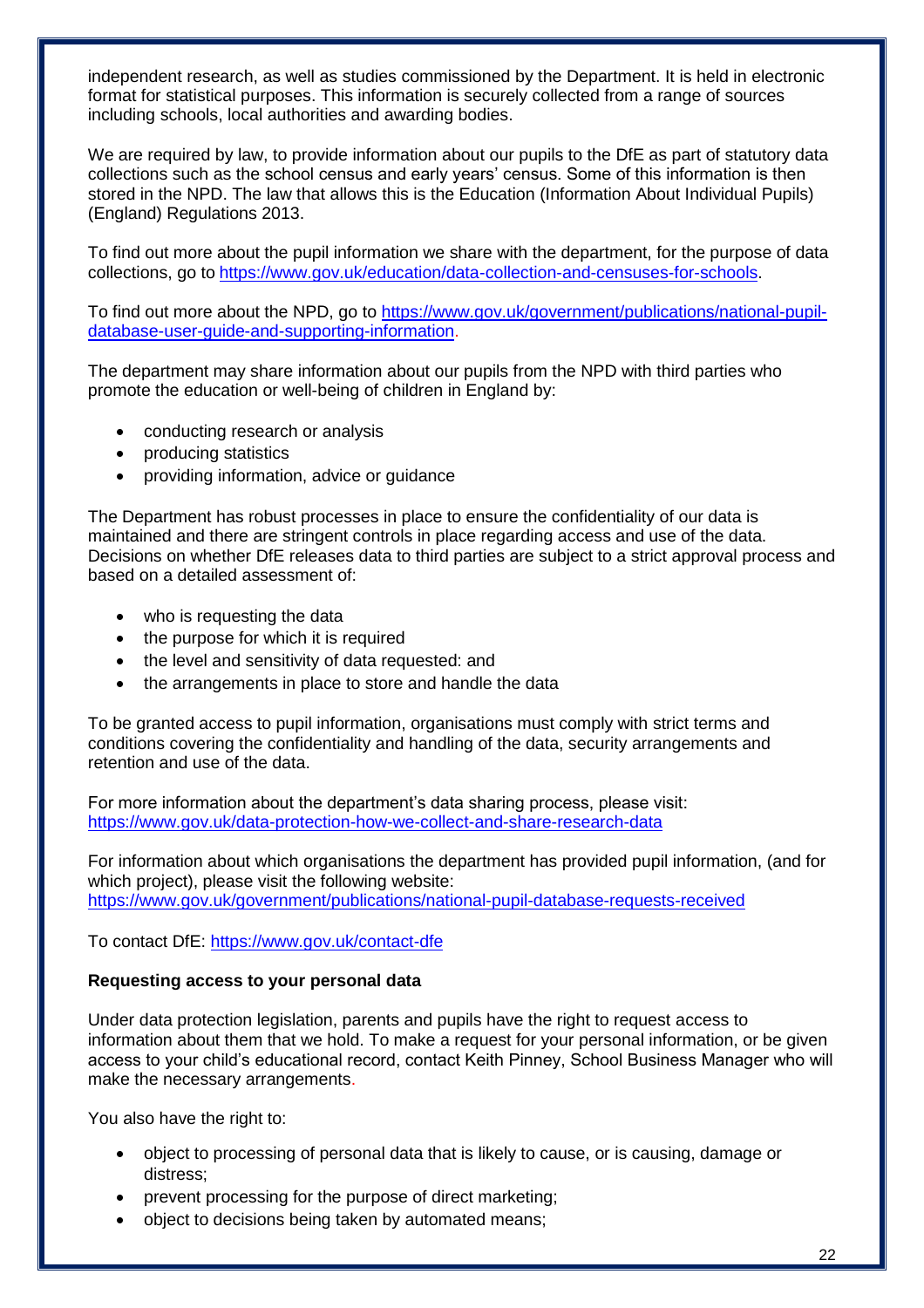independent research, as well as studies commissioned by the Department. It is held in electronic format for statistical purposes. This information is securely collected from a range of sources including schools, local authorities and awarding bodies.

We are required by law, to provide information about our pupils to the DfE as part of statutory data collections such as the school census and early years' census. Some of this information is then stored in the NPD. The law that allows this is the Education (Information About Individual Pupils) (England) Regulations 2013.

To find out more about the pupil information we share with the department, for the purpose of data collections, go to [https://www.gov.uk/education/data-collection-and-censuses-for-schools.](https://www.gov.uk/education/data-collection-and-censuses-for-schools)

To find out more about the NPD, go to [https://www.gov.uk/government/publications/national-pupil](https://www.gov.uk/government/publications/national-pupil-database-user-guide-and-supporting-information)[database-user-guide-and-supporting-information.](https://www.gov.uk/government/publications/national-pupil-database-user-guide-and-supporting-information)

The department may share information about our pupils from the NPD with third parties who promote the education or well-being of children in England by:

- conducting research or analysis
- producing statistics
- providing information, advice or guidance

The Department has robust processes in place to ensure the confidentiality of our data is maintained and there are stringent controls in place regarding access and use of the data. Decisions on whether DfE releases data to third parties are subject to a strict approval process and based on a detailed assessment of:

- who is requesting the data
- the purpose for which it is required
- the level and sensitivity of data requested: and
- the arrangements in place to store and handle the data

To be granted access to pupil information, organisations must comply with strict terms and conditions covering the confidentiality and handling of the data, security arrangements and retention and use of the data.

For more information about the department's data sharing process, please visit: <https://www.gov.uk/data-protection-how-we-collect-and-share-research-data>

For information about which organisations the department has provided pupil information, (and for which project), please visit the following website: <https://www.gov.uk/government/publications/national-pupil-database-requests-received>

To contact DfE:<https://www.gov.uk/contact-dfe>

#### **Requesting access to your personal data**

Under data protection legislation, parents and pupils have the right to request access to information about them that we hold. To make a request for your personal information, or be given access to your child's educational record, contact Keith Pinney, School Business Manager who will make the necessary arrangements.

You also have the right to:

- object to processing of personal data that is likely to cause, or is causing, damage or distress;
- prevent processing for the purpose of direct marketing;
- object to decisions being taken by automated means;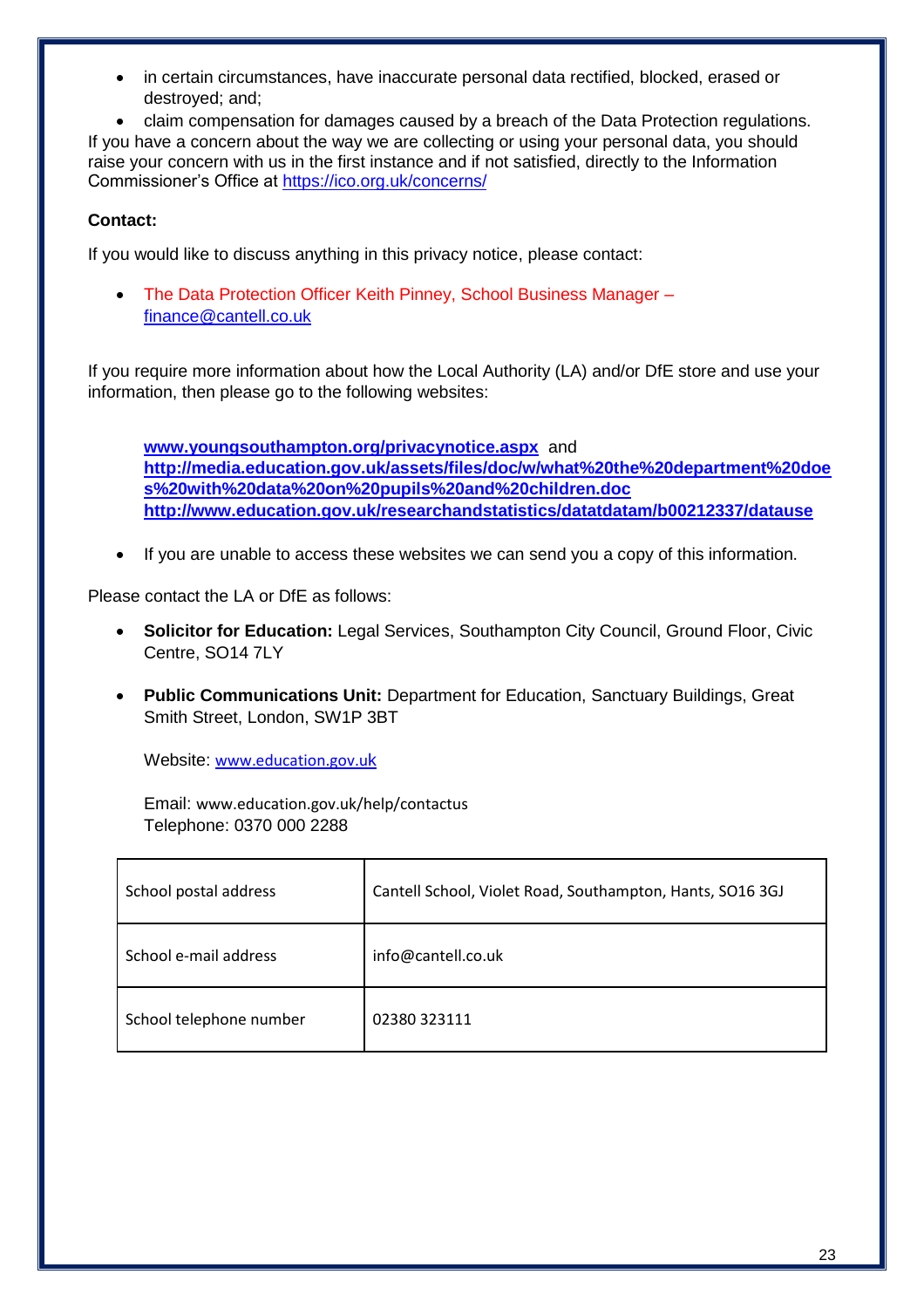in certain circumstances, have inaccurate personal data rectified, blocked, erased or destroyed; and;

 claim compensation for damages caused by a breach of the Data Protection regulations. If you have a concern about the way we are collecting or using your personal data, you should raise your concern with us in the first instance and if not satisfied, directly to the Information Commissioner's Office at<https://ico.org.uk/concerns/>

#### **Contact:**

If you would like to discuss anything in this privacy notice, please contact:

• The Data Protection Officer Keith Pinney, School Business Manager [finance@cantell.co.uk](mailto:finance@cantell.co.uk)

If you require more information about how the Local Authority (LA) and/or DfE store and use your information, then please go to the following websites:

**[www.youngsouthampton.org/privacynotice.aspx](http://www.youngsouthampton.org/privacynotice.aspx)** and **[http://media.education.gov.uk/assets/files/doc/w/what%20the%20department%20doe](http://media.education.gov.uk/assets/files/doc/w/what%20the%20department%20does%20with%20data%20on%20pupils%20and%20children.doc) [s%20with%20data%20on%20pupils%20and%20children.doc](http://media.education.gov.uk/assets/files/doc/w/what%20the%20department%20does%20with%20data%20on%20pupils%20and%20children.doc) <http://www.education.gov.uk/researchandstatistics/datatdatam/b00212337/datause>**

• If you are unable to access these websites we can send you a copy of this information.

Please contact the LA or DfE as follows:

- **Solicitor for Education:** Legal Services, Southampton City Council, Ground Floor, Civic Centre, SO14 7LY
- **Public Communications Unit:** Department for Education, Sanctuary Buildings, Great Smith Street, London, SW1P 3BT

Website: [www.education.gov.u](http://www.education.gov.uk/)k

Email: [www.education.gov.uk/help/contactus](http://www.education.gov.uk/help/contactus) Telephone: 0370 000 2288

| School postal address   | Cantell School, Violet Road, Southampton, Hants, SO16 3GJ |
|-------------------------|-----------------------------------------------------------|
| School e-mail address   | info@cantell.co.uk                                        |
| School telephone number | 02380323111                                               |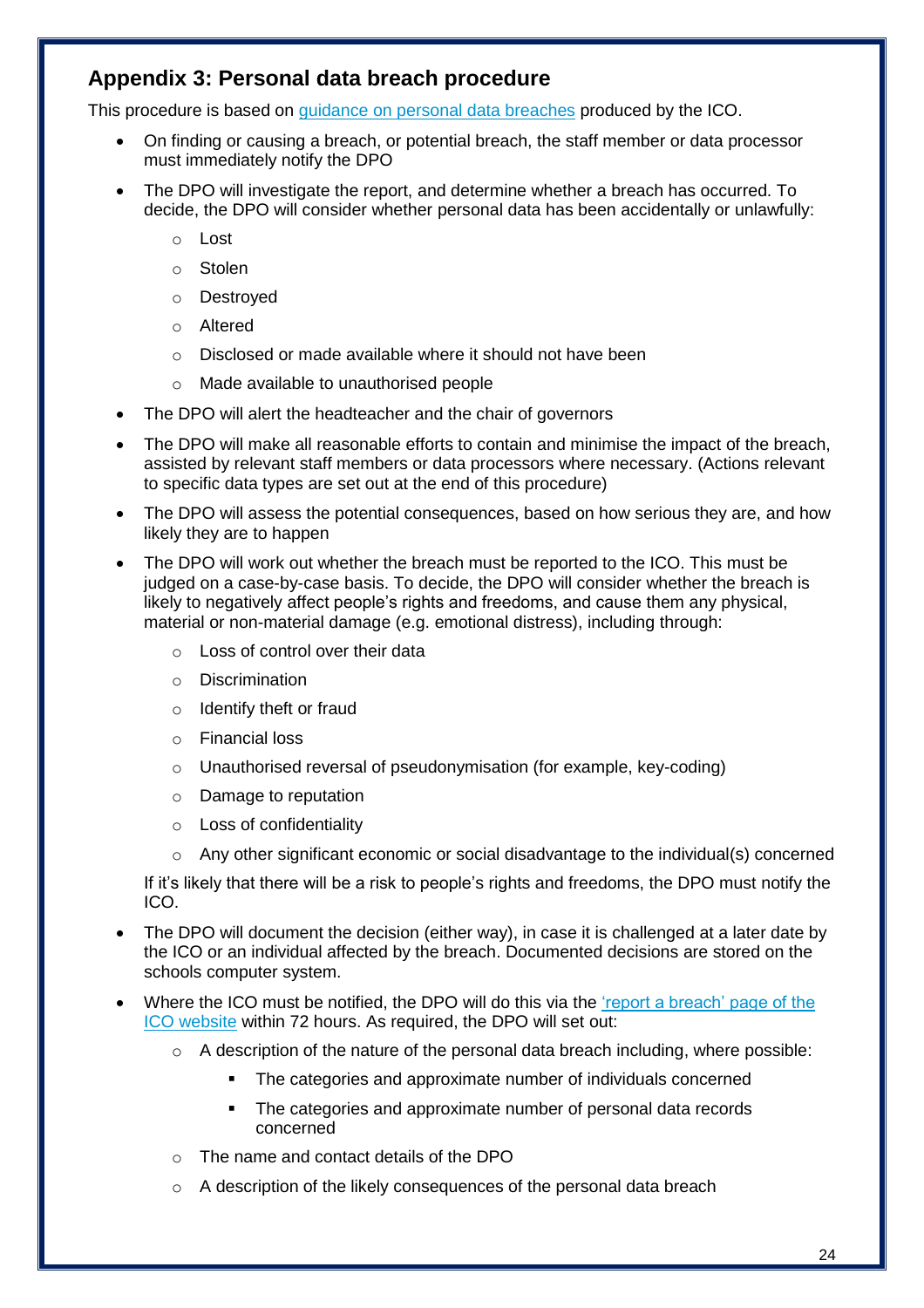# **Appendix 3: Personal data breach procedure**

This procedure is based on [guidance on personal data breaches](https://ico.org.uk/for-organisations/guide-to-the-general-data-protection-regulation-gdpr/personal-data-breaches/) produced by the ICO.

- On finding or causing a breach, or potential breach, the staff member or data processor must immediately notify the DPO
- The DPO will investigate the report, and determine whether a breach has occurred. To decide, the DPO will consider whether personal data has been accidentally or unlawfully:
	- o Lost
	- o Stolen
	- o Destroyed
	- o Altered
	- o Disclosed or made available where it should not have been
	- o Made available to unauthorised people
- The DPO will alert the headteacher and the chair of governors
- The DPO will make all reasonable efforts to contain and minimise the impact of the breach, assisted by relevant staff members or data processors where necessary. (Actions relevant to specific data types are set out at the end of this procedure)
- The DPO will assess the potential consequences, based on how serious they are, and how likely they are to happen
- The DPO will work out whether the breach must be reported to the ICO. This must be judged on a case-by-case basis. To decide, the DPO will consider whether the breach is likely to negatively affect people's rights and freedoms, and cause them any physical, material or non-material damage (e.g. emotional distress), including through:
	- o Loss of control over their data
	- o Discrimination
	- o Identify theft or fraud
	- o Financial loss
	- o Unauthorised reversal of pseudonymisation (for example, key-coding)
	- o Damage to reputation
	- o Loss of confidentiality
	- $\circ$  Any other significant economic or social disadvantage to the individual(s) concerned

If it's likely that there will be a risk to people's rights and freedoms, the DPO must notify the ICO.

- The DPO will document the decision (either way), in case it is challenged at a later date by the ICO or an individual affected by the breach. Documented decisions are stored on the schools computer system.
- Where the ICO must be notified, the DPO will do this via the ['report a breach' page of the](https://ico.org.uk/for-organisations/report-a-breach/)  [ICO website](https://ico.org.uk/for-organisations/report-a-breach/) within 72 hours. As required, the DPO will set out:
	- o A description of the nature of the personal data breach including, where possible:
		- The categories and approximate number of individuals concerned
		- The categories and approximate number of personal data records concerned
	- o The name and contact details of the DPO
	- o A description of the likely consequences of the personal data breach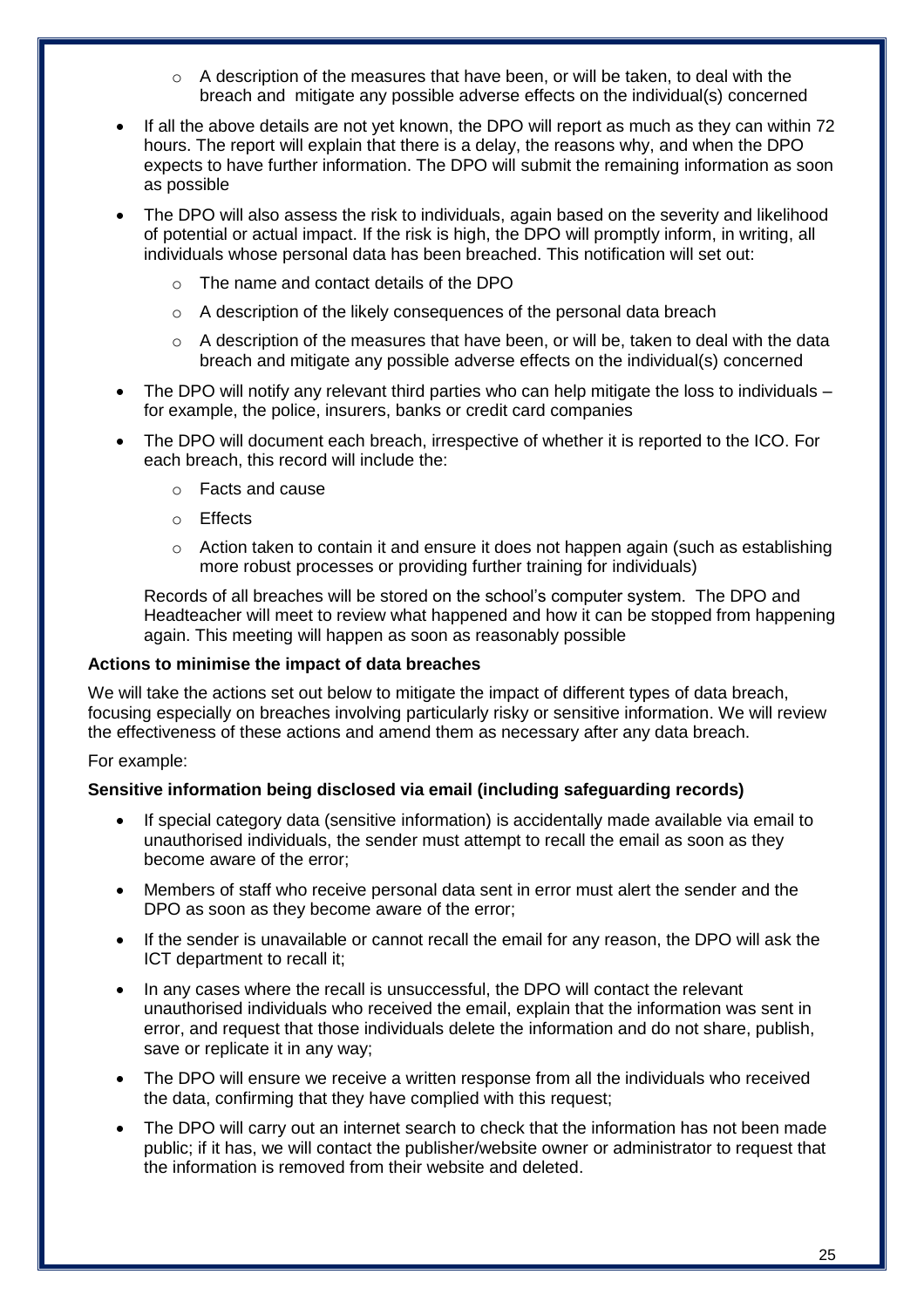- o A description of the measures that have been, or will be taken, to deal with the breach and mitigate any possible adverse effects on the individual(s) concerned
- If all the above details are not yet known, the DPO will report as much as they can within 72 hours. The report will explain that there is a delay, the reasons why, and when the DPO expects to have further information. The DPO will submit the remaining information as soon as possible
- The DPO will also assess the risk to individuals, again based on the severity and likelihood of potential or actual impact. If the risk is high, the DPO will promptly inform, in writing, all individuals whose personal data has been breached. This notification will set out:
	- o The name and contact details of the DPO
	- o A description of the likely consequences of the personal data breach
	- $\circ$  A description of the measures that have been, or will be, taken to deal with the data breach and mitigate any possible adverse effects on the individual(s) concerned
- The DPO will notify any relevant third parties who can help mitigate the loss to individuals for example, the police, insurers, banks or credit card companies
- The DPO will document each breach, irrespective of whether it is reported to the ICO. For each breach, this record will include the:
	- o Facts and cause
	- o Effects
	- o Action taken to contain it and ensure it does not happen again (such as establishing more robust processes or providing further training for individuals)

Records of all breaches will be stored on the school's computer system. The DPO and Headteacher will meet to review what happened and how it can be stopped from happening again. This meeting will happen as soon as reasonably possible

#### **Actions to minimise the impact of data breaches**

We will take the actions set out below to mitigate the impact of different types of data breach, focusing especially on breaches involving particularly risky or sensitive information. We will review the effectiveness of these actions and amend them as necessary after any data breach.

#### For example:

#### **Sensitive information being disclosed via email (including safeguarding records)**

- If special category data (sensitive information) is accidentally made available via email to unauthorised individuals, the sender must attempt to recall the email as soon as they become aware of the error;
- Members of staff who receive personal data sent in error must alert the sender and the DPO as soon as they become aware of the error;
- If the sender is unavailable or cannot recall the email for any reason, the DPO will ask the ICT department to recall it;
- In any cases where the recall is unsuccessful, the DPO will contact the relevant unauthorised individuals who received the email, explain that the information was sent in error, and request that those individuals delete the information and do not share, publish, save or replicate it in any way;
- The DPO will ensure we receive a written response from all the individuals who received the data, confirming that they have complied with this request;
- The DPO will carry out an internet search to check that the information has not been made public; if it has, we will contact the publisher/website owner or administrator to request that the information is removed from their website and deleted.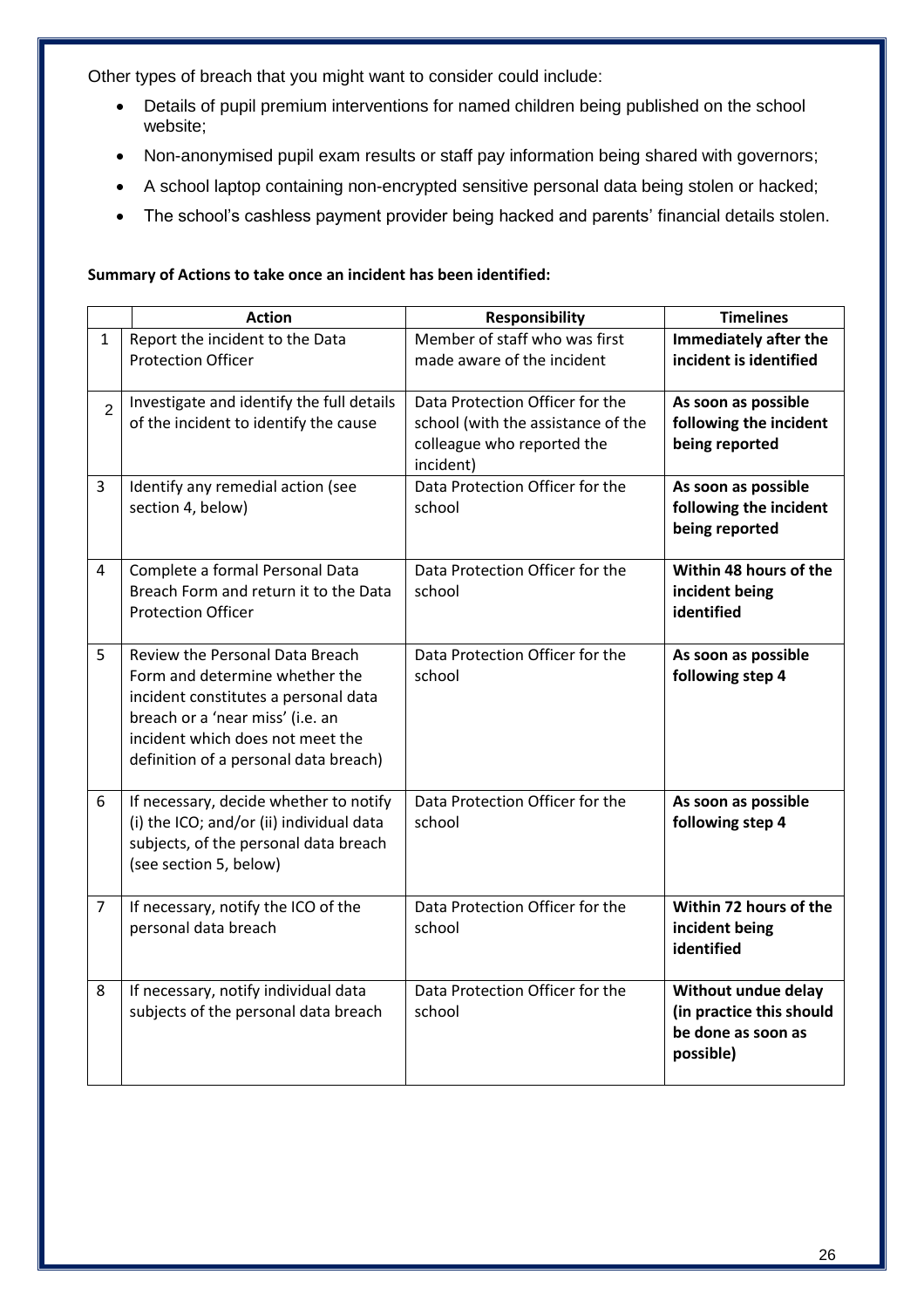Other types of breach that you might want to consider could include:

- Details of pupil premium interventions for named children being published on the school website;
- Non-anonymised pupil exam results or staff pay information being shared with governors;
- A school laptop containing non-encrypted sensitive personal data being stolen or hacked;
- The school's cashless payment provider being hacked and parents' financial details stolen.

#### **Summary of Actions to take once an incident has been identified:**

|                | <b>Action</b>                                                                                                                                                                                                              | <b>Responsibility</b>                                                                                            | <b>Timelines</b>                                                                   |
|----------------|----------------------------------------------------------------------------------------------------------------------------------------------------------------------------------------------------------------------------|------------------------------------------------------------------------------------------------------------------|------------------------------------------------------------------------------------|
| $\mathbf{1}$   | Report the incident to the Data<br><b>Protection Officer</b>                                                                                                                                                               | Member of staff who was first<br>made aware of the incident                                                      | <b>Immediately after the</b><br>incident is identified                             |
| $\overline{2}$ | Investigate and identify the full details<br>of the incident to identify the cause                                                                                                                                         | Data Protection Officer for the<br>school (with the assistance of the<br>colleague who reported the<br>incident) | As soon as possible<br>following the incident<br>being reported                    |
| 3              | Identify any remedial action (see<br>section 4, below)                                                                                                                                                                     | Data Protection Officer for the<br>school                                                                        | As soon as possible<br>following the incident<br>being reported                    |
| 4              | Complete a formal Personal Data<br>Breach Form and return it to the Data<br><b>Protection Officer</b>                                                                                                                      | Data Protection Officer for the<br>school                                                                        | Within 48 hours of the<br>incident being<br>identified                             |
| 5              | Review the Personal Data Breach<br>Form and determine whether the<br>incident constitutes a personal data<br>breach or a 'near miss' (i.e. an<br>incident which does not meet the<br>definition of a personal data breach) | Data Protection Officer for the<br>school                                                                        | As soon as possible<br>following step 4                                            |
| 6              | If necessary, decide whether to notify<br>(i) the ICO; and/or (ii) individual data<br>subjects, of the personal data breach<br>(see section 5, below)                                                                      | Data Protection Officer for the<br>school                                                                        | As soon as possible<br>following step 4                                            |
| $\overline{7}$ | If necessary, notify the ICO of the<br>personal data breach                                                                                                                                                                | Data Protection Officer for the<br>school                                                                        | Within 72 hours of the<br>incident being<br>identified                             |
| 8              | If necessary, notify individual data<br>subjects of the personal data breach                                                                                                                                               | Data Protection Officer for the<br>school                                                                        | Without undue delay<br>(in practice this should<br>be done as soon as<br>possible) |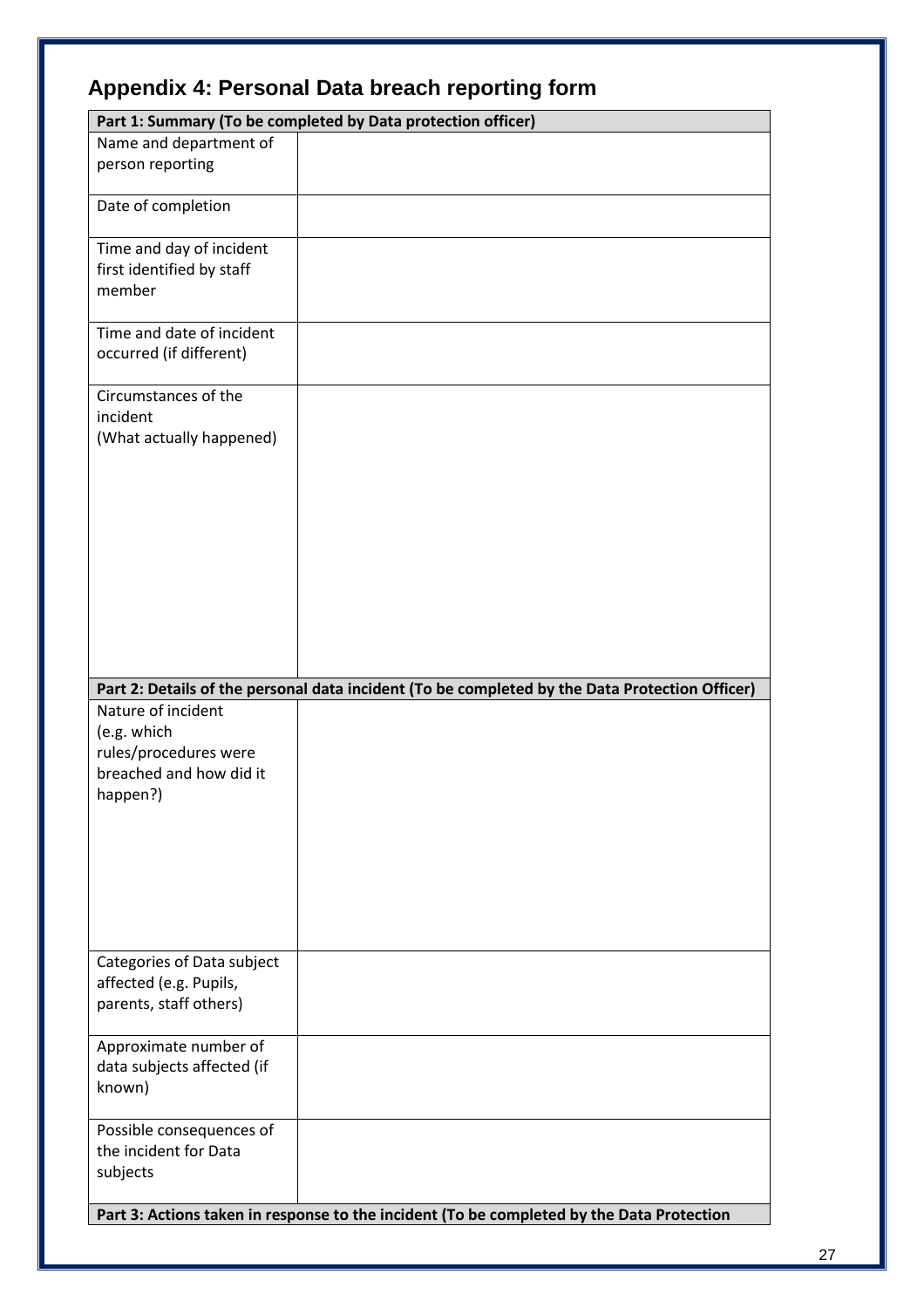|  |  |  |  | Appendix 4: Personal Data breach reporting form |  |
|--|--|--|--|-------------------------------------------------|--|
|--|--|--|--|-------------------------------------------------|--|

| Part 1: Summary (To be completed by Data protection officer)                                      |                                                                                                |  |
|---------------------------------------------------------------------------------------------------|------------------------------------------------------------------------------------------------|--|
| Name and department of<br>person reporting                                                        |                                                                                                |  |
| Date of completion                                                                                |                                                                                                |  |
| Time and day of incident<br>first identified by staff<br>member                                   |                                                                                                |  |
| Time and date of incident<br>occurred (if different)                                              |                                                                                                |  |
| Circumstances of the<br>incident<br>(What actually happened)                                      |                                                                                                |  |
|                                                                                                   | Part 2: Details of the personal data incident (To be completed by the Data Protection Officer) |  |
| Nature of incident<br>(e.g. which<br>rules/procedures were<br>breached and how did it<br>happen?) |                                                                                                |  |
| Categories of Data subject<br>affected (e.g. Pupils,<br>parents, staff others)                    |                                                                                                |  |
| Approximate number of<br>data subjects affected (if<br>known)                                     |                                                                                                |  |
| Possible consequences of<br>the incident for Data<br>subjects                                     |                                                                                                |  |
|                                                                                                   | Part 3: Actions taken in response to the incident (To be completed by the Data Protection      |  |